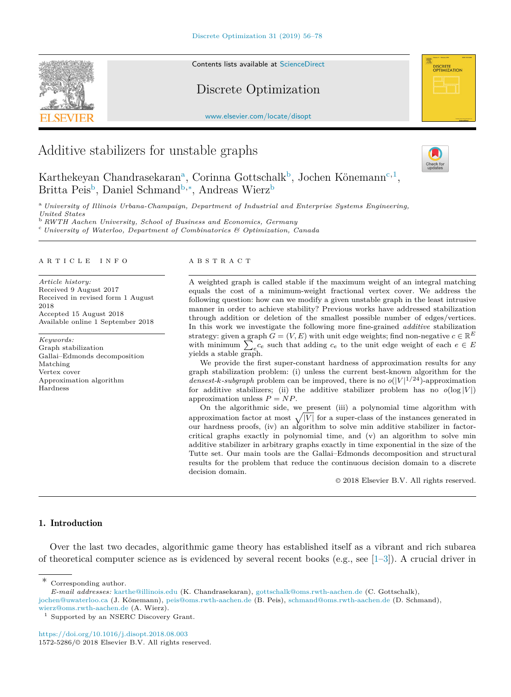

### Contents lists available at [ScienceDirect](http://www.elsevier.com/locate/disopt)

# Discrete Optimization

[www.elsevier.com/locate/disopt](http://www.elsevier.com/locate/disopt)

# Additive stabilizers for unstable graphs



DISCRETE<br>OPTIMIZATION

K[a](#page-0-0)rthekeyan Chandrasekaran<sup>a</sup>, Corinna Gottschalk<sup>[b](#page-0-1)</sup>, Jochen Könemann<sup>[c,](#page-0-2)[1](#page-0-3)</sup>, Britta Peis<sup>[b](#page-0-1)</sup>, Daniel Schmand<sup>[b,](#page-0-1)[\\*](#page-0-4)</sup>, Andreas Wierz<sup>b</sup>

<span id="page-0-0"></span><sup>a</sup> *University of Il linois Urbana-Champaign, Department of Industrial and Enterprise Systems Engineering, United States*

<span id="page-0-1"></span>

<sup>b</sup> *RWTH Aachen University, School of Business and Economics, Germany*

<span id="page-0-2"></span><sup>c</sup> *University of Waterloo, Department of Combinatorics & Optimization, Canada*

### a r t i c l e i n f o

*Article history:* Received 9 August 2017 Received in revised form 1 August 2018 Accepted 15 August 2018 Available online 1 September 2018

*Keywords:* Graph stabilization Gallai–Edmonds decomposition Matching Vertex cover Approximation algorithm Hardness

# a b s t r a c t

A weighted graph is called stable if the maximum weight of an integral matching equals the cost of a minimum-weight fractional vertex cover. We address the following question: how can we modify a given unstable graph in the least intrusive manner in order to achieve stability? Previous works have addressed stabilization through addition or deletion of the smallest possible number of edges/vertices. In this work we investigate the following more fine-grained *additive* stabilization strategy: given a graph  $G=(V,E)$  with unit edge weights; find non-negative  $c\in\mathbb{R}^E$ with minimum  $\sum_{e} c_e$  such that adding  $c_e$  to the unit edge weight of each  $e \in E$ yields a stable graph.

We provide the first super-constant hardness of approximation results for any graph stabilization problem: (i) unless the current best-known algorithm for the *densest-k-subgraph* problem can be improved, there is no  $o(|V|^{1/24})$ -approximation for additive stabilizers; (ii) the additive stabilizer problem has no  $o(\log |V|)$ approximation unless  $P = NP$ .

On the algorithmic side, we present (iii) a polynomial time algorithm with approximation factor at most  $\sqrt{|V|}$  for a super-class of the instances generated in our hardness proofs, (iv) an algorithm to solve min additive stabilizer in factorcritical graphs exactly in polynomial time, and (v) an algorithm to solve min additive stabilizer in arbitrary graphs exactly in time exponential in the size of the Tutte set. Our main tools are the Gallai–Edmonds decomposition and structural results for the problem that reduce the continuous decision domain to a discrete decision domain.

© 2018 Elsevier B.V. All rights reserved.

### 1. Introduction

Over the last two decades, algorithmic game theory has established itself as a vibrant and rich subarea of theoretical computer science as is evidenced by several recent books (e.g., see  $[1-3]$  $[1-3]$ ). A crucial driver in

<span id="page-0-4"></span>\* Corresponding author.

<https://doi.org/10.1016/j.disopt.2018.08.003> 1572-5286/© 2018 Elsevier B.V. All rights reserved.

*E-mail addresses:* [karthe@illinois.edu](mailto:karthe@illinois.edu) (K. Chandrasekaran), [gottschalk@oms.rwth-aachen.de](mailto:gottschalk@oms.rwth-aachen.de) (C. Gottschalk), [jochen@uwaterloo.ca](mailto:jochen@uwaterloo.ca) (J. Könemann), [peis@oms.rwth-aachen.de](mailto:peis@oms.rwth-aachen.de) (B. Peis), [schmand@oms.rwth-aachen.de](mailto:schmand@oms.rwth-aachen.de) (D. Schmand), [wierz@oms.rwth-aachen.de](mailto:wierz@oms.rwth-aachen.de) (A. Wierz).

<span id="page-0-3"></span> $^{\rm 1}$  Supported by an NSERC Discovery Grant.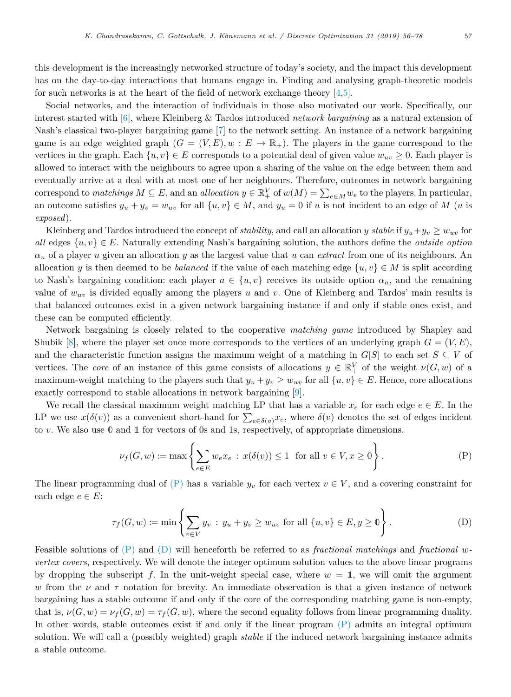this development is the increasingly networked structure of today's society, and the impact this development has on the day-to-day interactions that humans engage in. Finding and analysing graph-theoretic models for such networks is at the heart of the field of network exchange theory [[4,](#page-21-2)[5\]](#page-21-3).

Social networks, and the interaction of individuals in those also motivated our work. Specifically, our interest started with [\[6](#page-21-4)], where Kleinberg & Tardos introduced *network bargaining* as a natural extension of Nash's classical two-player bargaining game [[7\]](#page-21-5) to the network setting. An instance of a network bargaining game is an edge weighted graph  $(G = (V, E), w : E \to \mathbb{R}_+$ ). The players in the game correspond to the vertices in the graph. Each  $\{u, v\} \in E$  corresponds to a potential deal of given value  $w_{uv} \geq 0$ . Each player is allowed to interact with the neighbours to agree upon a sharing of the value on the edge between them and eventually arrive at a deal with at most one of her neighbours. Therefore, outcomes in network bargaining correspond to *matchings*  $M \subseteq E$ , and an *allocation*  $y \in \mathbb{R}^V_+$  of  $w(M) = \sum_{e \in M} w_e$  to the players. In particular, an outcome satisfies  $y_u + y_v = w_{uv}$  for all  $\{u, v\} \in M$ , and  $y_u = 0$  if *u* is not incident to an edge of *M* (*u* is *exposed*).

Kleinberg and Tardos introduced the concept of *stability*, and call an allocation *y stable* if  $y_u + y_v \geq w_{uv}$  for *all* edges  $\{u, v\} \in E$ . Naturally extending Nash's bargaining solution, the authors define the *outside option α<sup>u</sup>* of a player *u* given an allocation *y* as the largest value that *u* can *extract* from one of its neighbours. An allocation *y* is then deemed to be *balanced* if the value of each matching edge  $\{u, v\} \in M$  is split according to Nash's bargaining condition: each player  $a \in \{u, v\}$  receives its outside option  $\alpha_a$ , and the remaining value of  $w_{uv}$  is divided equally among the players *u* and *v*. One of Kleinberg and Tardos' main results is that balanced outcomes exist in a given network bargaining instance if and only if stable ones exist, and these can be computed efficiently.

Network bargaining is closely related to the cooperative *matching game* introduced by Shapley and Shubik  $[8]$  $[8]$ , where the player set once more corresponds to the vertices of an underlying graph  $G = (V, E)$ , and the characteristic function assigns the maximum weight of a matching in  $G[S]$  to each set  $S \subseteq V$  of vertices. The *core* of an instance of this game consists of allocations  $y \in \mathbb{R}^V_+$  of the weight  $\nu(G, w)$  of a maximum-weight matching to the players such that  $y_u + y_v \geq w_{uv}$  for all  $\{u, v\} \in E$ . Hence, core allocations exactly correspond to stable allocations in network bargaining [[9\]](#page-21-7).

We recall the classical maximum weight matching LP that has a variable  $x_e$  for each edge  $e \in E$ . In the LP we use  $x(\delta(v))$  as a convenient short-hand for  $\sum_{e \in \delta(v)} x_e$ , where  $\delta(v)$  denotes the set of edges incident to *v*. We also use **0** and **1** for vectors of 0s and 1s, respectively, of appropriate dimensions.

<span id="page-1-0"></span>
$$
\nu_f(G, w) := \max \left\{ \sum_{e \in E} w_e x_e : x(\delta(v)) \le 1 \text{ for all } v \in V, x \ge 0 \right\}.
$$
 (P)

The linear programming dual of [\(P\)](#page-1-0) has a variable  $y_v$  for each vertex  $v \in V$ , and a covering constraint for each edge  $e \in E$ :

<span id="page-1-1"></span>
$$
\tau_f(G, w) := \min \left\{ \sum_{v \in V} y_v : y_u + y_v \ge w_{uv} \text{ for all } \{u, v\} \in E, y \ge 0 \right\}.
$$
 (D)

Feasible solutions of [\(P\)](#page-1-0) and [\(D\)](#page-1-1) will henceforth be referred to as *fractional matchings* and *fractional wvertex covers*, respectively. We will denote the integer optimum solution values to the above linear programs by dropping the subscript f. In the unit-weight special case, where  $w = 1$ , we will omit the argument *w* from the *v* and  $\tau$  notation for brevity. An immediate observation is that a given instance of network bargaining has a stable outcome if and only if the core of the corresponding matching game is non-empty, that is,  $\nu(G, w) = \nu_f(G, w) = \tau_f(G, w)$ , where the second equality follows from linear programming duality. In other words, stable outcomes exist if and only if the linear program  $(P)$  admits an integral optimum solution. We will call a (possibly weighted) graph *stable* if the induced network bargaining instance admits a stable outcome.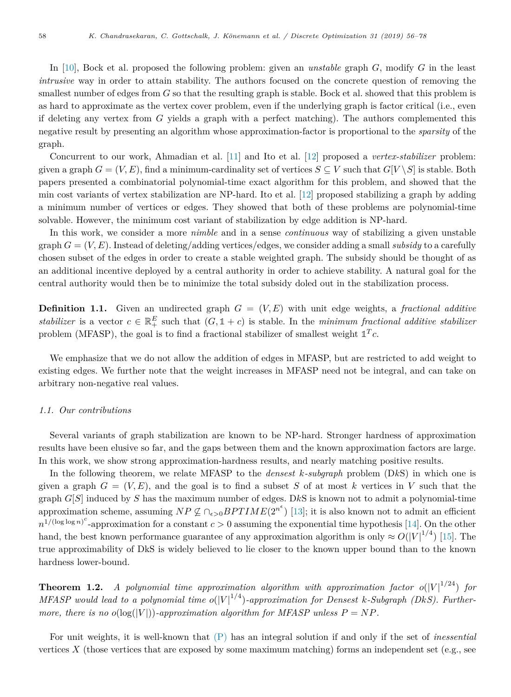In [[10\]](#page-21-8), Bock et al. proposed the following problem: given an *unstable* graph *G*, modify *G* in the least *intrusive* way in order to attain stability. The authors focused on the concrete question of removing the smallest number of edges from *G* so that the resulting graph is stable. Bock et al. showed that this problem is as hard to approximate as the vertex cover problem, even if the underlying graph is factor critical (i.e., even if deleting any vertex from *G* yields a graph with a perfect matching). The authors complemented this negative result by presenting an algorithm whose approximation-factor is proportional to the *sparsity* of the graph.

Concurrent to our work, Ahmadian et al. [[11\]](#page-21-9) and Ito et al. [[12\]](#page-21-10) proposed a *vertex-stabilizer* problem: given a graph  $G = (V, E)$ , find a minimum-cardinality set of vertices  $S \subseteq V$  such that  $G[V \setminus S]$  is stable. Both papers presented a combinatorial polynomial-time exact algorithm for this problem, and showed that the min cost variants of vertex stabilization are NP-hard. Ito et al. [\[12](#page-21-10)] proposed stabilizing a graph by adding a minimum number of vertices or edges. They showed that both of these problems are polynomial-time solvable. However, the minimum cost variant of stabilization by edge addition is NP-hard.

In this work, we consider a more *nimble* and in a sense *continuous* way of stabilizing a given unstable graph  $G = (V, E)$ . Instead of deleting/adding vertices/edges, we consider adding a small *subsidy* to a carefully chosen subset of the edges in order to create a stable weighted graph. The subsidy should be thought of as an additional incentive deployed by a central authority in order to achieve stability. A natural goal for the central authority would then be to minimize the total subsidy doled out in the stabilization process.

**Definition 1.1.** Given an undirected graph  $G = (V, E)$  with unit edge weights, a *fractional additive stabilizer* is a vector  $c \in \mathbb{R}^E_+$  such that  $(G, \mathbb{1} + c)$  is stable. In the *minimum fractional additive stabilizer* problem (MFASP), the goal is to find a fractional stabilizer of smallest weight  $\mathbb{1}^T c$ .

We emphasize that we do not allow the addition of edges in MFASP, but are restricted to add weight to existing edges. We further note that the weight increases in MFASP need not be integral, and can take on arbitrary non-negative real values.

### <span id="page-2-1"></span>*1.1. Our contributions*

Several variants of graph stabilization are known to be NP-hard. Stronger hardness of approximation results have been elusive so far, and the gaps between them and the known approximation factors are large. In this work, we show strong approximation-hardness results, and nearly matching positive results.

In the following theorem, we relate MFASP to the *densest k-subgraph* problem (D*k*S) in which one is given a graph  $G = (V, E)$ , and the goal is to find a subset *S* of at most *k* vertices in *V* such that the graph *G*[*S*] induced by *S* has the maximum number of edges. D*k*S is known not to admit a polynomial-time approximation scheme, assuming  $NP \not\subseteq \bigcap_{\epsilon>0} BPTIME(2^{n^{\epsilon}})$  [[13\]](#page-21-11); it is also known not to admit an efficient  $n^{1/(\log \log n)^c}$ -approximation for a constant  $c > 0$  assuming the exponential time hypothesis [[14\]](#page-21-12). On the other hand, the best known performance guarantee of any approximation algorithm is only  $\approx O(|V|^{1/4})$  [\[15](#page-21-13)]. The true approximability of DkS is widely believed to lie closer to the known upper bound than to the known hardness lower-bound.

<span id="page-2-0"></span>**Theorem 1.2.** *A polynomial time approximation algorithm with approximation factor*  $o(|V|^{1/24})$  for *MFASP* would lead to a polynomial time  $o(|V|^{1/4})$ -approximation for Densest k-Subgraph (DkS). Further*more, there is no*  $o(log(|V|))$ *-approximation algorithm for MFASP unless*  $P = NP$ *.* 

For unit weights, it is well-known that [\(P\)](#page-1-0) has an integral solution if and only if the set of *inessential* vertices *X* (those vertices that are exposed by some maximum matching) forms an independent set (e.g., see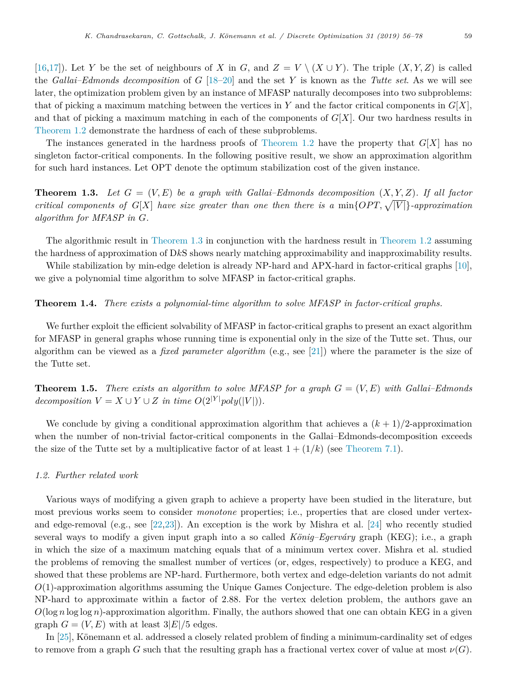[[16](#page-21-14)[,17](#page-21-15)]). Let *Y* be the set of neighbours of *X* in *G*, and  $Z = V \setminus (X \cup Y)$ . The triple  $(X, Y, Z)$  is called the *Gallai–Edmonds decomposition* of *G* [\[18](#page-21-16)[–20](#page-21-17)] and the set *Y* is known as the *Tutte set*. As we will see later, the optimization problem given by an instance of MFASP naturally decomposes into two subproblems: that of picking a maximum matching between the vertices in  $Y$  and the factor critical components in  $G[X]$ , and that of picking a maximum matching in each of the components of  $G[X]$ . Our two hardness results in [Theorem 1.2](#page-2-0) demonstrate the hardness of each of these subproblems.

The instances generated in the hardness proofs of [Theorem 1.2](#page-2-0) have the property that *G*[*X*] has no singleton factor-critical components. In the following positive result, we show an approximation algorithm for such hard instances. Let OPT denote the optimum stabilization cost of the given instance.

**Theorem 1.3.** Let  $G = (V, E)$  be a graph with Gallai–Edmonds decomposition  $(X, Y, Z)$ . If all factor *critical components of*  $G[X]$  *have size greater than one then there is a* min $\{OPT, \sqrt{|V|}\}$ *-approximation algorithm for MFASP in G.*

The algorithmic result in [Theorem 1.3](#page-14-0) in conjunction with the hardness result in [Theorem 1.2](#page-2-0) assuming the hardness of approximation of D*k*S shows nearly matching approximability and inapproximability results.

While stabilization by min-edge deletion is already NP-hard and APX-hard in factor-critical graphs [[10\]](#page-21-8), we give a polynomial time algorithm to solve MFASP in factor-critical graphs.

### <span id="page-3-0"></span>**Theorem 1.4.** *There exists a polynomial-time algorithm to solve MFASP in factor-critical graphs.*

We further exploit the efficient solvability of MFASP in factor-critical graphs to present an exact algorithm for MFASP in general graphs whose running time is exponential only in the size of the Tutte set. Thus, our algorithm can be viewed as a *fixed parameter algorithm* (e.g., see [[21\]](#page-21-18)) where the parameter is the size of the Tutte set.

<span id="page-3-1"></span>**Theorem 1.5.** *There exists an algorithm to solve MFASP for a graph*  $G = (V, E)$  *with Gallai–Edmonds decomposition*  $V = X \cup Y \cup Z$  *in time*  $O(2^{|Y|}poly(|V|)).$ 

We conclude by giving a conditional approximation algorithm that achieves a  $(k+1)/2$ -approximation when the number of non-trivial factor-critical components in the Gallai–Edmonds-decomposition exceeds the size of the Tutte set by a multiplicative factor of at least  $1 + (1/k)$  (see [Theorem 7.1](#page-20-0)).

### *1.2. Further related work*

Various ways of modifying a given graph to achieve a property have been studied in the literature, but most previous works seem to consider *monotone* properties; i.e., properties that are closed under vertexand edge-removal (e.g., see [[22,](#page-21-19)[23\]](#page-21-20)). An exception is the work by Mishra et al. [\[24](#page-21-21)] who recently studied several ways to modify a given input graph into a so called *König–Egerváry* graph (KEG); i.e., a graph in which the size of a maximum matching equals that of a minimum vertex cover. Mishra et al. studied the problems of removing the smallest number of vertices (or, edges, respectively) to produce a KEG, and showed that these problems are NP-hard. Furthermore, both vertex and edge-deletion variants do not admit *O*(1)-approximation algorithms assuming the Unique Games Conjecture. The edge-deletion problem is also NP-hard to approximate within a factor of 2.88. For the vertex deletion problem, the authors gave an  $O(\log n \log \log n)$ -approximation algorithm. Finally, the authors showed that one can obtain KEG in a given graph  $G = (V, E)$  with at least  $3|E|/5$  edges.

In [\[25](#page-21-22)], Könemann et al. addressed a closely related problem of finding a minimum-cardinality set of edges to remove from a graph *G* such that the resulting graph has a fractional vertex cover of value at most  $\nu(G)$ .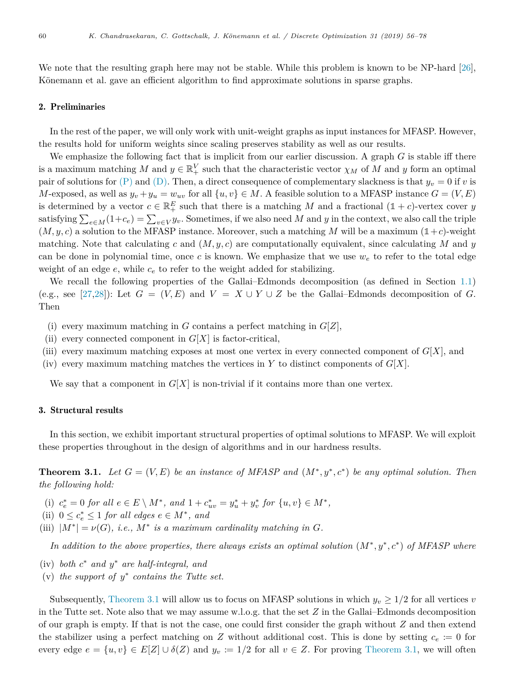We note that the resulting graph here may not be stable. While this problem is known to be NP-hard [[26\]](#page-21-23), Könemann et al. gave an efficient algorithm to find approximate solutions in sparse graphs.

### <span id="page-4-1"></span>2. Preliminaries

In the rest of the paper, we will only work with unit-weight graphs as input instances for MFASP. However, the results hold for uniform weights since scaling preserves stability as well as our results.

We emphasize the following fact that is implicit from our earlier discussion. A graph *G* is stable iff there is a maximum matching  $M$  and  $y \in \mathbb{R}^V_+$  such that the characteristic vector  $\chi_M$  of  $M$  and  $y$  form an optimal pair of solutions for  $(P)$  and  $(D)$ . Then, a direct consequence of complementary slackness is that  $y_v = 0$  if *v* is *M*-exposed, as well as  $y_v + y_u = w_{uv}$  for all  $\{u, v\} \in M$ . A feasible solution to a MFASP instance  $G = (V, E)$ is determined by a vector  $c \in \mathbb{R}^E_+$  such that there is a matching M and a fractional  $(1+c)$ -vertex cover *y* satisfying  $\sum_{e \in M} (1+c_e) = \sum_{v \in V} y_v$ . Sometimes, if we also need *M* and *y* in the context, we also call the triple  $(M, y, c)$  a solution to the MFASP instance. Moreover, such a matching *M* will be a maximum  $(1+c)$ -weight matching. Note that calculating *c* and  $(M, y, c)$  are computationally equivalent, since calculating *M* and *y* can be done in polynomial time, once  $c$  is known. We emphasize that we use  $w_e$  to refer to the total edge weight of an edge  $e$ , while  $c<sub>e</sub>$  to refer to the weight added for stabilizing.

We recall the following properties of the Gallai–Edmonds decomposition (as defined in Section [1.1](#page-2-1)) (e.g., see [\[27,](#page-22-0)[28\]](#page-22-1)): Let  $G = (V, E)$  and  $V = X \cup Y \cup Z$  be the Gallai–Edmonds decomposition of *G*. Then

- (i) every maximum matching in *G* contains a perfect matching in  $G[Z]$ ,
- (ii) every connected component in  $G[X]$  is factor-critical,
- (iii) every maximum matching exposes at most one vertex in every connected component of  $G[X]$ , and
- (iv) every maximum matching matches the vertices in  $Y$  to distinct components of  $G[X]$ .

We say that a component in  $G[X]$  is non-trivial if it contains more than one vertex.

### 3. Structural results

In this section, we exhibit important structural properties of optimal solutions to MFASP. We will exploit these properties throughout in the design of algorithms and in our hardness results.

<span id="page-4-0"></span>**Theorem 3.1.** Let  $G = (V, E)$  be an instance of MFASP and  $(M^*, y^*, c^*)$  be any optimal solution. Then *the following hold:*

- (i)  $c_e^* = 0$  *for all*  $e \in E \setminus M^*$ , and  $1 + c_{uv}^* = y_u^* + y_v^*$  *for*  $\{u, v\} \in M^*$ ,
- (ii)  $0 \le c_e^* \le 1$  *for all edges*  $e \in M^*$ *, and*
- (iii)  $|M^*| = \nu(G)$ , *i.e.*,  $M^*$  *is a maximum cardinality matching in G*.

*In addition to the above properties, there always exists an optimal solution* (*M*<sup>∗</sup> *, y*<sup>∗</sup> *, c*<sup>∗</sup> ) *of MFASP where*

- (iv) *both c* <sup>∗</sup> *and y* <sup>∗</sup> *are half-integral, and*
- (v) *the support of*  $y^*$  *contains the Tutte set.*

Subsequently, [Theorem 3.1](#page-4-0) will allow us to focus on MFASP solutions in which  $y_v \geq 1/2$  for all vertices *v* in the Tutte set. Note also that we may assume w.l.o.g. that the set *Z* in the Gallai–Edmonds decomposition of our graph is empty. If that is not the case, one could first consider the graph without *Z* and then extend the stabilizer using a perfect matching on *Z* without additional cost. This is done by setting  $c_e := 0$  for every edge  $e = \{u, v\} \in E[Z] \cup \delta(Z)$  and  $y_v := 1/2$  for all  $v \in Z$ . For proving [Theorem 3.1](#page-4-0), we will often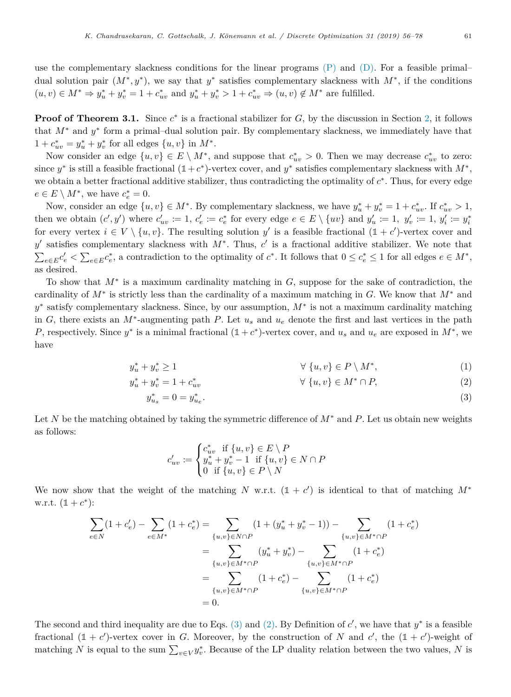use the complementary slackness conditions for the linear programs  $(P)$  and  $(D)$ . For a feasible primal– dual solution pair  $(M^*, y^*)$ , we say that  $y^*$  satisfies complementary slackness with  $M^*$ , if the conditions  $(u, v) \in M^* \Rightarrow y_u^* + y_v^* = 1 + c_{uv}^*$  and  $y_u^* + y_v^* > 1 + c_{uv}^* \Rightarrow (u, v) \notin M^*$  are fulfilled.

**Proof of Theorem 3.1.** Since  $c^*$  is a fractional stabilizer for  $G$ , by the discussion in Section [2,](#page-4-1) it follows that *M*<sup>∗</sup> and *y* ∗ form a primal–dual solution pair. By complementary slackness, we immediately have that  $1 + c_{uv}^* = y_u^* + y_v^*$  for all edges  $\{u, v\}$  in  $M^*$ .

Now consider an edge  $\{u, v\} \in E \setminus M^*$ , and suppose that  $c^*_{uv} > 0$ . Then we may decrease  $c^*_{uv}$  to zero: since  $y^*$  is still a feasible fractional  $(1+c^*)$ -vertex cover, and  $y^*$  satisfies complementary slackness with  $M^*$ , we obtain a better fractional additive stabilizer, thus contradicting the optimality of  $c^*$ . Thus, for every edge  $e \in E \setminus M^*$ , we have  $c_e^* = 0$ .

Now, consider an edge  $\{u, v\} \in M^*$ . By complementary slackness, we have  $y_u^* + y_v^* = 1 + c_{uv}^*$ . If  $c_{uv}^* > 1$ , then we obtain  $(c', y')$  where  $c'_{uv} := 1$ ,  $c'_{e} := c^*_{e}$  for every edge  $e \in E \setminus \{uv\}$  and  $y'_{u} := 1$ ,  $y'_{v} := 1$ ,  $y'_{i} := y^*_{i}$ for every vertex  $i \in V \setminus \{u, v\}$ . The resulting solution y' is a feasible fractional  $(1 + c')$ -vertex cover and *y*<sup> $\prime$ </sup> satisfies complementary slackness with *M*<sup>∗</sup>. Thus, *c*<sup>'</sup> is a fractional additive stabilizer. We note that  $\sum_{e \in E} c'_e < \sum_{e \in E} c^*_e$ , a contradiction to the optimality of  $c^*$ . It follows that  $0 \leq c^*_e \leq 1$  for all edges  $e \in M^*$ , as desired.

To show that *M*<sup>∗</sup> is a maximum cardinality matching in *G*, suppose for the sake of contradiction, the cardinality of *M*<sup>∗</sup> is strictly less than the cardinality of a maximum matching in *G*. We know that *M*<sup>∗</sup> and *y*<sup>∗</sup> satisfy complementary slackness. Since, by our assumption,  $M^*$  is not a maximum cardinality matching in *G*, there exists an *M*<sup>∗</sup> -augmenting path *P*. Let *u<sup>s</sup>* and *u<sup>e</sup>* denote the first and last vertices in the path *P*, respectively. Since  $y^*$  is a minimal fractional  $(1 + c^*)$ -vertex cover, and  $u_s$  and  $u_e$  are exposed in  $M^*$ , we have

$$
y_u^* + y_v^* \ge 1 \qquad \qquad \forall \{u, v\} \in P \setminus M^*, \tag{1}
$$

<span id="page-5-1"></span>
$$
y_u^* + y_v^* = 1 + c_{uv}^* \qquad \qquad \forall \{u, v\} \in M^* \cap P,\tag{2}
$$

<span id="page-5-0"></span>
$$
y_{u_s}^* = 0 = y_{u_e}^*.\tag{3}
$$

Let *N* be the matching obtained by taking the symmetric difference of *M*<sup>∗</sup> and *P*. Let us obtain new weights as follows:

$$
c'_{uv} := \begin{cases} c^*_{uv} & \text{if } \{u, v\} \in E \setminus P \\ y^*_u + y^*_v - 1 & \text{if } \{u, v\} \in N \cap P \\ 0 & \text{if } \{u, v\} \in P \setminus N \end{cases}
$$

We now show that the weight of the matching *N* w.r.t.  $(1 + c')$  is identical to that of matching  $M^*$ w.r.t.  $(1 + c^*)$ :

$$
\sum_{e \in N} (1 + c'_e) - \sum_{e \in M^*} (1 + c_e^*) = \sum_{\{u,v\} \in N \cap P} (1 + (y_u^* + y_v^* - 1)) - \sum_{\{u,v\} \in M^* \cap P} (1 + c_e^*)
$$
\n
$$
= \sum_{\{u,v\} \in M^* \cap P} (y_u^* + y_v^*) - \sum_{\{u,v\} \in M^* \cap P} (1 + c_e^*)
$$
\n
$$
= \sum_{\{u,v\} \in M^* \cap P} (1 + c_e^*) - \sum_{\{u,v\} \in M^* \cap P} (1 + c_e^*)
$$
\n
$$
= 0.
$$
\n(14.10)

The second and third inequality are due to Eqs.  $(3)$  and  $(2)$ . By Definition of *c'*, we have that  $y^*$  is a feasible fractional  $(1 + c')$ -vertex cover in *G*. Moreover, by the construction of *N* and  $c'$ , the  $(1 + c')$ -weight of matching *N* is equal to the sum  $\sum_{v \in V} y_v^*$ . Because of the LP duality relation between the two values, *N* is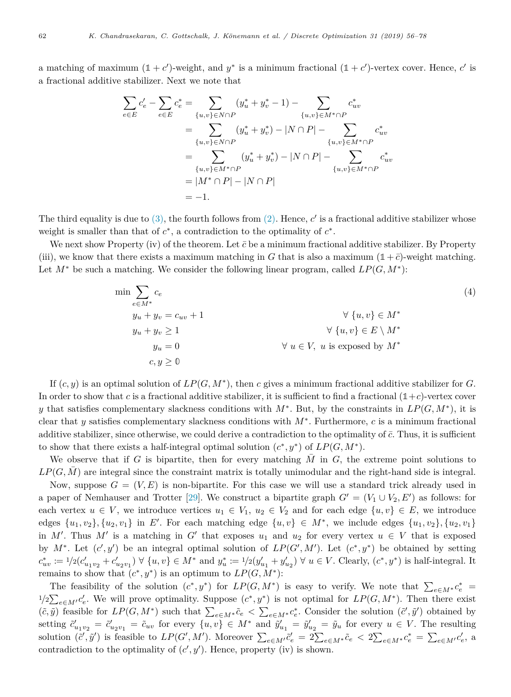a matching of maximum  $(1 + c')$ -weight, and  $y^*$  is a minimum fractional  $(1 + c')$ -vertex cover. Hence,  $c'$  is a fractional additive stabilizer. Next we note that

$$
\sum_{e \in E} c'_e - \sum_{e \in E} c^*_e = \sum_{\{u,v\} \in N \cap P} (y^*_u + y^*_v - 1) - \sum_{\{u,v\} \in M^* \cap P} c^*_{uv}
$$
\n
$$
= \sum_{\{u,v\} \in N \cap P} (y^*_u + y^*_v) - |N \cap P| - \sum_{\{u,v\} \in M^* \cap P} c^*_{uv}
$$
\n
$$
= \sum_{\{u,v\} \in M^* \cap P} (y^*_u + y^*_v) - |N \cap P| - \sum_{\{u,v\} \in M^* \cap P} c^*_{uv}
$$
\n
$$
= |M^* \cap P| - |N \cap P|
$$
\n
$$
= -1.
$$

The third equality is due to  $(3)$ , the fourth follows from  $(2)$ . Hence,  $c'$  is a fractional additive stabilizer whose weight is smaller than that of  $c^*$ , a contradiction to the optimality of  $c^*$ .

We next show Property (iv) of the theorem. Let  $\bar{c}$  be a minimum fractional additive stabilizer. By Property (iii), we know that there exists a maximum matching in *G* that is also a maximum  $(1 + \bar{c})$ -weight matching. Let  $M^*$  be such a matching. We consider the following linear program, called  $LP(G, M^*)$ :

$$
\min \sum_{e \in M^*} c_e
$$
\n
$$
y_u + y_v = c_{uv} + 1
$$
\n
$$
y_u + y_v \ge 1
$$
\n
$$
y_u = 0
$$
\n
$$
y_u = 0
$$
\n
$$
y_u = 0
$$
\n
$$
y_u = 0
$$
\n
$$
y_u = 0
$$
\n
$$
y_u = 0
$$
\n
$$
y_u = 0
$$
\n
$$
y_u = 0
$$
\n
$$
y_u = 0
$$
\n
$$
y_u = 0
$$
\n
$$
y_u = 0
$$
\n
$$
y_u = 0
$$
\n
$$
y_u = 0
$$
\n
$$
y_u = 0
$$
\n
$$
y_u = 0
$$
\n
$$
y_u = 0
$$
\n
$$
y_u = 0
$$
\n
$$
y_u = 0
$$
\n
$$
y_u = 0
$$
\n
$$
y_u = 0
$$
\n
$$
y_u = 0
$$
\n
$$
y_u = 0
$$
\n
$$
y_u = 0
$$
\n
$$
y_u = 0
$$
\n
$$
y_u = 0
$$
\n
$$
y_u = 0
$$
\n
$$
y_u = 0
$$
\n
$$
y_u = 0
$$
\n
$$
y_u = 0
$$
\n
$$
y_u = 0
$$
\n
$$
y_u = 0
$$
\n
$$
y_u = 0
$$
\n
$$
y_u = 0
$$
\n
$$
y_u = 0
$$
\n
$$
y_u = 0
$$
\n
$$
y_u = 0
$$
\n
$$
y_u = 0
$$
\n
$$
y_u = 0
$$
\n
$$
y_u = 0
$$
\n
$$
y_u = 0
$$
\n
$$
y_u = 0
$$
\n
$$
y_u = 0
$$
\n
$$
y_u = 0
$$
\n
$$
y_u = 0
$$
\n
$$
y_u = 0
$$
\n
$$
y_u = 0
$$
\n
$$
y_u =
$$

If  $(c, y)$  is an optimal solution of  $LP(G, M^*)$ , then *c* gives a minimum fractional additive stabilizer for *G*. In order to show that *c* is a fractional additive stabilizer, it is sufficient to find a fractional  $(1+c)$ -vertex cover *y* that satisfies complementary slackness conditions with *M*<sup>∗</sup> . But, by the constraints in *LP*(*G, M*<sup>∗</sup> ), it is clear that *y* satisfies complementary slackness conditions with *M*<sup>∗</sup> . Furthermore, *c* is a minimum fractional additive stabilizer, since otherwise, we could derive a contradiction to the optimality of ¯*c*. Thus, it is sufficient to show that there exists a half-integral optimal solution  $(c^*, y^*)$  of  $LP(G, M^*)$ .

We observe that if  $G$  is bipartite, then for every matching  $M$  in  $G$ , the extreme point solutions to  $LP(G, M)$  are integral since the constraint matrix is totally unimodular and the right-hand side is integral.

Now, suppose  $G = (V, E)$  is non-bipartite. For this case we will use a standard trick already used in a paper of Nemhauser and Trotter [[29\]](#page-22-2). We construct a bipartite graph  $G' = (V_1 \cup V_2, E')$  as follows: for each vertex  $u \in V$ , we introduce vertices  $u_1 \in V_1$ ,  $u_2 \in V_2$  and for each edge  $\{u, v\} \in E$ , we introduce edges  $\{u_1, v_2\}$ ,  $\{u_2, v_1\}$  in *E'*. For each matching edge  $\{u, v\} \in M^*$ , we include edges  $\{u_1, v_2\}$ ,  $\{u_2, v_1\}$ in *M'*. Thus *M'* is a matching in *G'* that exposes  $u_1$  and  $u_2$  for every vertex  $u \in V$  that is exposed by  $M^*$ . Let  $(c', y')$  be an integral optimal solution of  $LP(G', M')$ . Let  $(c^*, y^*)$  be obtained by setting  $c_{uv}^* := 1/2(c_{u_1v_2} + c_{u_2v_1}') \vee \{u, v\} \in M^*$  and  $y_u^* := 1/2(y_{u_1}'+y_{u_2}') \vee u \in V$ . Clearly,  $(c^*, y^*)$  is half-integral. It remains to show that  $(c^*, y^*)$  is an optimum to  $LP(G, M^*)$ :

The feasibility of the solution  $(c^*, y^*)$  for  $LP(G, M^*)$  is easy to verify. We note that  $\sum_{e \in M^*} c_e^*$  $\frac{1}{2} \sum_{e \in M'} c'_e$ . We will prove optimality. Suppose  $(c^*, y^*)$  is not optimal for  $LP(G, M^*)$ . Then there exist  $(\tilde{c}, \tilde{y})$  feasible for  $LP(G, M^*)$  such that  $\sum_{e \in M^*} \tilde{c}_e < \sum_{e \in M^*} c_e^*$ . Consider the solution  $(\tilde{c}', \tilde{y}')$  obtained by setting  $\tilde{c}'_{u_1v_2} = \tilde{c}'_{u_2v_1} = \tilde{c}_{uv}$  for every  $\{u, v\} \in M^*$  and  $\tilde{y}'_{u_1} = \tilde{y}'_{u_2} = \tilde{y}_u$  for every  $u \in V$ . The resulting solution  $(\tilde{c}', \tilde{y}')$  is feasible to  $LP(G', M')$ . Moreover  $\sum_{e \in M'} \tilde{c}'_e = 2 \sum_{e \in M^*} \tilde{c}_e < 2 \sum_{e \in M^*} c'_e = \sum_{e \in M'} c'_e$ , a contradiction to the optimality of  $(c', y')$ . Hence, property (iv) is shown.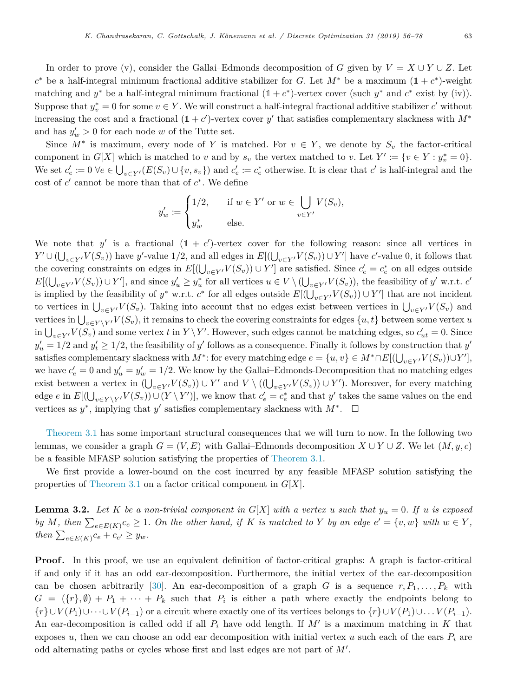In order to prove (v), consider the Gallai–Edmonds decomposition of *G* given by  $V = X \cup Y \cup Z$ . Let  $c^*$  be a half-integral minimum fractional additive stabilizer for *G*. Let  $M^*$  be a maximum  $(1 + c^*)$ -weight matching and  $y^*$  be a half-integral minimum fractional  $(1 + c^*)$ -vertex cover (such  $y^*$  and  $c^*$  exist by (iv)). Suppose that  $y_v^* = 0$  for some  $v \in Y$ . We will construct a half-integral fractional additive stabilizer  $c'$  without increasing the cost and a fractional  $(1 + c')$ -vertex cover y' that satisfies complementary slackness with  $M^*$ and has  $y'_w > 0$  for each node *w* of the Tutte set.

Since  $M^*$  is maximum, every node of *Y* is matched. For  $v \in Y$ , we denote by  $S_v$  the factor-critical component in  $G[X]$  which is matched to *v* and by  $s_v$  the vertex matched to *v*. Let  $Y' := \{v \in Y : y_v^* = 0\}.$ We set  $c'_e := 0 \ \forall e \in \bigcup_{v \in Y'} (E(S_v) \cup \{v, s_v\})$  and  $c'_e := c_e^*$  otherwise. It is clear that  $c'$  is half-integral and the cost of  $c'$  cannot be more than that of  $c^*$ . We define

$$
y'_{w} := \begin{cases} 1/2, & \text{if } w \in Y' \text{ or } w \in \bigcup_{v \in Y'} V(S_v), \\ y^*_{w} & \text{else.} \end{cases}
$$

We note that  $y'$  is a fractional  $(1 + c')$ -vertex cover for the following reason: since all vertices in  $Y' \cup (\bigcup_{v \in Y'} V(S_v))$  have y'-value 1/2, and all edges in  $E[(\bigcup_{v \in Y'} V(S_v)) \cup Y']$  have c'-value 0, it follows that the covering constraints on edges in  $E[(\bigcup_{v \in Y'} V(S_v)) \cup Y']$  are satisfied. Since  $c'_e = c_e^*$  on all edges outside  $E[(\bigcup_{v\in Y'}V(S_v))\cup Y']$ , and since  $y'_u\geq y_u^*$  for all vertices  $u\in V\setminus(\bigcup_{v\in Y'}V(S_v))$ , the feasibility of y' w.r.t.  $c'$ is implied by the feasibility of  $y^*$  w.r.t.  $c^*$  for all edges outside  $E[(\bigcup_{v\in Y'} V(S_v)) \cup Y']$  that are not incident to vertices in  $\bigcup_{v \in Y'} V(S_v)$ . Taking into account that no edges exist between vertices in  $\bigcup_{v \in Y'} V(S_v)$  and vertices in  $\bigcup_{v \in Y \setminus Y'} V(S_v)$ , it remains to check the covering constraints for edges  $\{u, t\}$  between some vertex *u*  $\bigcup_{v \in Y'} V(S_v)$  and some vertex *t* in  $Y \setminus Y'$ . However, such edges cannot be matching edges, so  $c'_{ut} = 0$ . Since  $y'_u = 1/2$  and  $y'_t \ge 1/2$ , the feasibility of *y'* follows as a consequence. Finally it follows by construction that *y'* satisfies complementary slackness with  $M^*$ : for every matching edge  $e = \{u, v\} \in M^* \cap E[(\bigcup_{v \in Y'} V(S_v)) \cup Y']$ , we have  $c'_e = 0$  and  $y'_u = y'_w = 1/2$ . We know by the Gallai–Edmonds-Decomposition that no matching edges exist between a vertex in  $(\bigcup_{v \in Y'} V(S_v)) \cup Y'$  and  $V \setminus ((\bigcup_{v \in Y'} V(S_v)) \cup Y')$ . Moreover, for every matching  $\text{edge } e \text{ in } E[(\bigcup_{v \in Y \setminus Y'} V(S_v)) \cup (Y \setminus Y')]$ , we know that  $c'_e = c^*_e$  and that  $y'$  takes the same values on the end vertices as  $y^*$ , implying that  $y'$  satisfies complementary slackness with  $M^*$ .  $\Box$ 

[Theorem 3.1](#page-4-0) has some important structural consequences that we will turn to now. In the following two lemmas, we consider a graph  $G = (V, E)$  with Gallai–Edmonds decomposition  $X \cup Y \cup Z$ . We let  $(M, y, c)$ be a feasible MFASP solution satisfying the properties of [Theorem 3.1.](#page-4-0)

We first provide a lower-bound on the cost incurred by any feasible MFASP solution satisfying the properties of [Theorem 3.1](#page-4-0) on a factor critical component in *G*[*X*].

<span id="page-7-0"></span>**Lemma 3.2.** Let K be a non-trivial component in  $G[X]$  with a vertex *u* such that  $y_u = 0$ . If *u* is exposed by M, then  $\sum_{e \in E(K)} c_e \geq 1$ . On the other hand, if K is matched to Y by an edge  $e' = \{v, w\}$  with  $w \in Y$ , *then*  $\sum_{e \in E(K)} c_e + c_{e'} \geq y_w$ .

**Proof.** In this proof, we use an equivalent definition of factor-critical graphs: A graph is factor-critical if and only if it has an odd ear-decomposition. Furthermore, the initial vertex of the ear-decomposition can be chosen arbitrarily [[30\]](#page-22-3). An ear-decomposition of a graph *G* is a sequence  $r, P_1, \ldots, P_k$  with  $G = (\{r\}, \emptyset) + P_1 + \cdots + P_k$  such that  $P_i$  is either a path where exactly the endpoints belong to  ${r}$   $\cup$  *V* (*P*<sub>1</sub>)∪ · · · ∪ *V* (*P*<sub>*i*−1</sub>) or a circuit where exactly one of its vertices belongs to  ${r}$   $\cup$  *V* (*P*<sub>1</sub>)∪*. . . V* (*P*<sub>*i*−1</sub>). An ear-decomposition is called odd if all *P<sup>i</sup>* have odd length. If *M*′ is a maximum matching in *K* that exposes  $u$ , then we can choose an odd ear decomposition with initial vertex  $u$  such each of the ears  $P_i$  are odd alternating paths or cycles whose first and last edges are not part of *M*′ .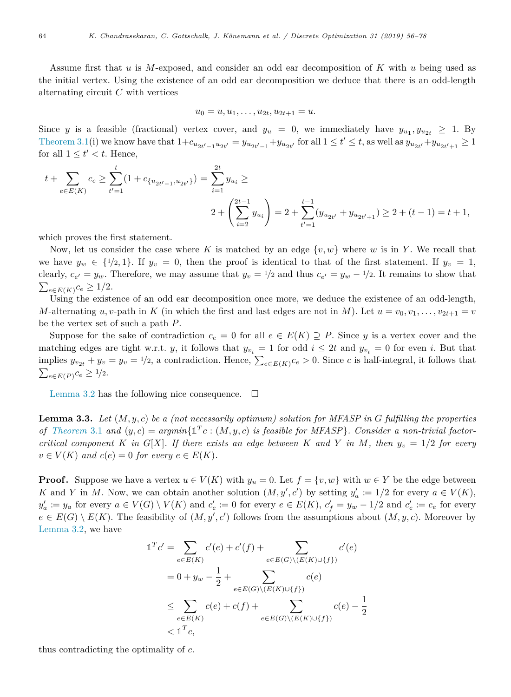Assume first that *u* is *M*-exposed, and consider an odd ear decomposition of *K* with *u* being used as the initial vertex. Using the existence of an odd ear decomposition we deduce that there is an odd-length alternating circuit *C* with vertices

$$
u_0 = u, u_1, \ldots, u_{2t}, u_{2t+1} = u.
$$

Since *y* is a feasible (fractional) vertex cover, and  $y_u = 0$ , we immediately have  $y_{u_1}, y_{u_{2t}} \geq 1$ . By [Theorem 3.1\(](#page-4-0)i) we know have that  $1+c_{u_{2t'-1}u_{2t'}}=y_{u_{2t'-1}}+y_{u_{2t'}}$  for all  $1\leq t'\leq t$ , as well as  $y_{u_{2t'}}+y_{u_{2t'+1}}\geq 1$ for all  $1 \le t' < t$ . Hence,

$$
t + \sum_{e \in E(K)} c_e \ge \sum_{t'=1}^t (1 + c_{\{u_{2t'-1}, u_{2t'}\}}) = \sum_{i=1}^{2t} y_{u_i} \ge
$$
  

$$
2 + \left(\sum_{i=2}^{2t-1} y_{u_i}\right) = 2 + \sum_{t'=1}^{t-1} (y_{u_{2t'}} + y_{u_{2t'+1}}) \ge 2 + (t-1) = t+1,
$$

which proves the first statement.

Now, let us consider the case where K is matched by an edge  $\{v, w\}$  where w is in Y. We recall that we have  $y_w \in \{1/2, 1\}$ . If  $y_v = 0$ , then the proof is identical to that of the first statement. If  $y_v = 1$ , clearly,  $c_{e'} = y_w$ . Therefore, we may assume that  $y_v = 1/2$  and thus  $c_{e'} = y_w - 1/2$ . It remains to show that  $\sum_{e \in E(K)} c_e \geq 1/2.$ 

Using the existence of an odd ear decomposition once more, we deduce the existence of an odd-length, *M*-alternating *u*, *v*-path in *K* (in which the first and last edges are not in *M*). Let  $u = v_0, v_1, \ldots, v_{2t+1} = v$ be the vertex set of such a path *P*.

Suppose for the sake of contradiction  $c_e = 0$  for all  $e \in E(K) \supseteq P$ . Since *y* is a vertex cover and the matching edges are tight w.r.t. *y*, it follows that  $y_{v_i} = 1$  for odd  $i \leq 2t$  and  $y_{v_i} = 0$  for even *i*. But that implies  $y_{v_{2t}} + y_v = y_v = 1/2$ , a contradiction. Hence,  $\sum_{e \in E(K)} c_e > 0$ . Since *c* is half-integral, it follows that  $\sum_{e \in E(P)} c_e \geq 1/2.$ 

[Lemma 3.2](#page-7-0) has the following nice consequence.  $\Box$ 

<span id="page-8-0"></span>**Lemma 3.3.** *Let* (*M, y, c*) *be a (not necessarily optimum) solution for MFASP in G fulfilling the properties of* [Theorem](#page-4-0) 3.1 and  $(y, c) = argmin\{1^T c : (M, y, c)$  *is feasible for MFASP* $\}$ *. Consider a non-trivial factorcritical component K in*  $G[X]$ *. If there exists an edge between K and Y in M*, *then*  $y_v = 1/2$  *for every*  $v \in V(K)$  *and*  $c(e) = 0$  *for every*  $e \in E(K)$ *.* 

**Proof.** Suppose we have a vertex  $u \in V(K)$  with  $y_u = 0$ . Let  $f = \{v, w\}$  with  $w \in Y$  be the edge between *K* and *Y* in *M*. Now, we can obtain another solution  $(M, y', c')$  by setting  $y'_a := 1/2$  for every  $a \in V(K)$ ,  $y'_a := y_a$  for every  $a \in V(G) \setminus V(K)$  and  $c'_e := 0$  for every  $e \in E(K)$ ,  $c'_f = y_w - 1/2$  and  $c'_e := c_e$  for every  $e \in E(G) \setminus E(K)$ . The feasibility of  $(M, y', c')$  follows from the assumptions about  $(M, y, c)$ . Moreover by [Lemma 3.2](#page-7-0), we have

$$
\mathbb{1}^T c' = \sum_{e \in E(K)} c'(e) + c'(f) + \sum_{e \in E(G) \setminus (E(K) \cup \{f\})} c'(e)
$$
  
= 0 + y<sub>w</sub> -  $\frac{1}{2}$  +  $\sum_{e \in E(G) \setminus (E(K) \cup \{f\})} c(e)$   
 $\leq \sum_{e \in E(K)} c(e) + c(f) + \sum_{e \in E(G) \setminus (E(K) \cup \{f\})} c(e) - \frac{1}{2}$   
 $< \mathbb{1}^T c$ ,

thus contradicting the optimality of *c*.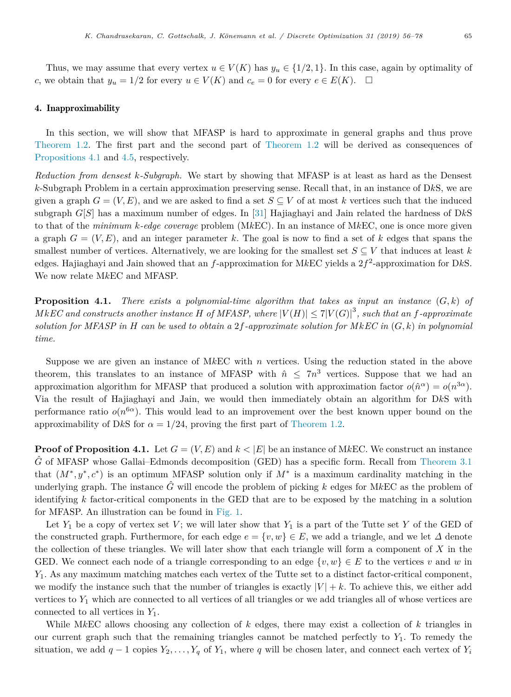Thus, we may assume that every vertex  $u \in V(K)$  has  $y_u \in \{1/2, 1\}$ . In this case, again by optimality of *c*, we obtain that  $y_u = 1/2$  for every  $u \in V(K)$  and  $c_e = 0$  for every  $e \in E(K)$ . □

### 4. Inapproximability

In this section, we will show that MFASP is hard to approximate in general graphs and thus prove [Theorem 1.2.](#page-2-0) The first part and the second part of [Theorem 1.2](#page-2-0) will be derived as consequences of [Propositions 4.1](#page-9-0) and [4.5,](#page-11-0) respectively.

*Reduction from densest k-Subgraph.* We start by showing that MFASP is at least as hard as the Densest *k*-Subgraph Problem in a certain approximation preserving sense. Recall that, in an instance of D*k*S, we are given a graph  $G = (V, E)$ , and we are asked to find a set  $S \subseteq V$  of at most k vertices such that the induced subgraph *G*[*S*] has a maximum number of edges. In [[31\]](#page-22-4) Hajiaghayi and Jain related the hardness of D*k*S to that of the *minimum k-edge coverage* problem (M*k*EC). In an instance of M*k*EC, one is once more given a graph  $G = (V, E)$ , and an integer parameter k. The goal is now to find a set of k edges that spans the smallest number of vertices. Alternatively, we are looking for the smallest set  $S \subseteq V$  that induces at least *k* edges. Hajiaghayi and Jain showed that an *f*-approximation for M*k*EC yields a 2*f* 2 -approximation for D*k*S. We now relate M*k*EC and MFASP.

<span id="page-9-0"></span>**Proposition 4.1.** *There exists a polynomial-time algorithm that takes as input an instance*  $(G, k)$  of  $MkEC$  and constructs another instance *H* of *MFASP*, where  $|V(H)| \leq 7|V(G)|^3$ , such that an *f*-approximate *solution for MFASP in H can be used to obtain a* 2*f-approximate solution for MkEC in* (*G, k*) *in polynomial time.*

Suppose we are given an instance of M*k*EC with *n* vertices. Using the reduction stated in the above theorem, this translates to an instance of MFASP with  $\hat{n} \leq 7n^3$  vertices. Suppose that we had an approximation algorithm for MFASP that produced a solution with approximation factor  $o(\hat{n}^{\alpha}) = o(n^{3\alpha})$ . Via the result of Hajiaghayi and Jain, we would then immediately obtain an algorithm for D*k*S with performance ratio  $o(n^{6\alpha})$ . This would lead to an improvement over the best known upper bound on the approximability of DkS for  $\alpha = 1/24$ , proving the first part of [Theorem 1.2.](#page-2-0)

**Proof of Proposition 4.1.** Let  $G = (V, E)$  and  $k < |E|$  be an instance of MkEC. We construct an instance *G*ˆ of MFASP whose Gallai–Edmonds decomposition (GED) has a specific form. Recall from [Theorem 3.1](#page-4-0) that  $(M^*, y^*, c^*)$  is an optimum MFASP solution only if  $M^*$  is a maximum cardinality matching in the underlying graph. The instance *G*ˆ will encode the problem of picking *k* edges for M*k*EC as the problem of identifying *k* factor-critical components in the GED that are to be exposed by the matching in a solution for MFASP. An illustration can be found in [Fig. 1.](#page-10-0)

Let  $Y_1$  be a copy of vertex set  $V$ ; we will later show that  $Y_1$  is a part of the Tutte set  $Y$  of the GED of the constructed graph. Furthermore, for each edge  $e = \{v, w\} \in E$ , we add a triangle, and we let  $\Delta$  denote the collection of these triangles. We will later show that each triangle will form a component of *X* in the GED. We connect each node of a triangle corresponding to an edge  $\{v, w\} \in E$  to the vertices *v* and *w* in *Y*<sub>1</sub>. As any maximum matching matches each vertex of the Tutte set to a distinct factor-critical component, we modify the instance such that the number of triangles is exactly  $|V| + k$ . To achieve this, we either add vertices to *Y*<sup>1</sup> which are connected to all vertices of all triangles or we add triangles all of whose vertices are connected to all vertices in *Y*1.

While M*k*EC allows choosing any collection of *k* edges, there may exist a collection of *k* triangles in our current graph such that the remaining triangles cannot be matched perfectly to *Y*1. To remedy the situation, we add  $q-1$  copies  $Y_2, \ldots, Y_q$  of  $Y_1$ , where  $q$  will be chosen later, and connect each vertex of  $Y_i$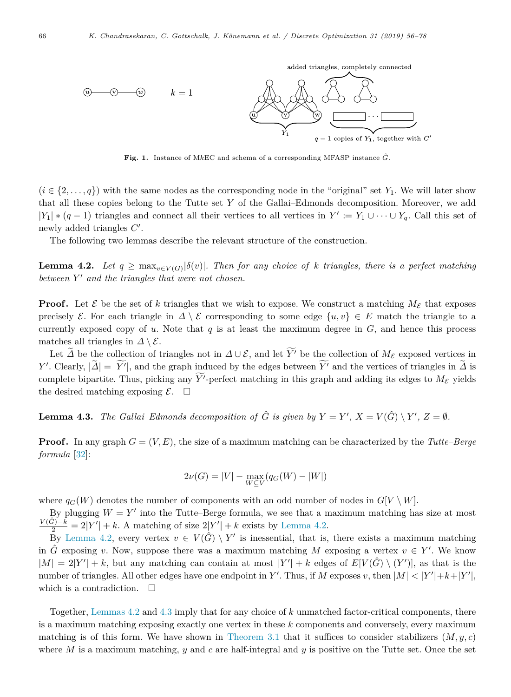<span id="page-10-0"></span>

**Fig. 1.** Instance of MkEC and schema of a corresponding MFASP instance  $\hat{G}$ .

 $(i \in \{2, \ldots, q\})$  with the same nodes as the corresponding node in the "original" set  $Y_1$ . We will later show that all these copies belong to the Tutte set *Y* of the Gallai–Edmonds decomposition. Moreover, we add  $|Y_1|$  \*  $(q-1)$  triangles and connect all their vertices to all vertices in  $Y' := Y_1 \cup \cdots \cup Y_q$ . Call this set of newly added triangles  $C'$ .

The following two lemmas describe the relevant structure of the construction.

<span id="page-10-1"></span>**Lemma 4.2.** *Let*  $q \geq \max_{v \in V(G)} |\delta(v)|$ . Then for any choice of k triangles, there is a perfect matching *between Y* ′ *and the triangles that were not chosen.*

**Proof.** Let  $\mathcal{E}$  be the set of k triangles that we wish to expose. We construct a matching  $M_{\mathcal{E}}$  that exposes precisely E. For each triangle in  $\Delta \setminus \mathcal{E}$  corresponding to some edge  $\{u, v\} \in E$  match the triangle to a currently exposed copy of  $u$ . Note that  $q$  is at least the maximum degree in  $G$ , and hence this process matches all triangles in  $\Delta \setminus \mathcal{E}$ .

Let  $\widetilde{\Delta}$  be the collection of triangles not in  $\Delta \cup \mathcal{E}$ , and let  $\widetilde{Y'}$  be the collection of  $M_{\mathcal{E}}$  exposed vertices in *Y*'. Clearly,  $|\tilde{\Delta}| = |Y'|$ , and the graph induced by the edges between  $\tilde{Y'}$  and the vertices of triangles in  $\tilde{\Delta}$  is complete bipartite. Thus, picking any *Y*'-perfect matching in this graph and adding its edges to  $M_{\mathcal{E}}$  yields the desired matching exposing  $\mathcal{E}$ .  $\square$ 

<span id="page-10-2"></span>**Lemma 4.3.** *The Gallai–Edmonds decomposition of*  $\hat{G}$  *is given by*  $Y = Y'$ ,  $X = V(\hat{G}) \setminus Y'$ ,  $Z = \emptyset$ .

**Proof.** In any graph  $G = (V, E)$ , the size of a maximum matching can be characterized by the *Tutte–Berge formula* [\[32](#page-22-5)]:

$$
2\nu(G) = |V| - \max_{W \subseteq V} (q_G(W) - |W|)
$$

where  $q_G(W)$  denotes the number of components with an odd number of nodes in  $G[V \setminus W]$ .

By plugging  $W = Y'$  into the Tutte–Berge formula, we see that a maximum matching has size at most  $\frac{V(\hat{G})-\tilde{k}}{2} = 2|Y'| + k$ . A matching of size  $2|Y'| + k$  exists by [Lemma 4.2.](#page-10-1)

By [Lemma 4.2](#page-10-1), every vertex  $v \in V(\hat{G}) \setminus Y'$  is inessential, that is, there exists a maximum matching in  $\hat{G}$  exposing *v*. Now, suppose there was a maximum matching M exposing a vertex  $v \in Y'$ . We know  $|M| = 2|Y'| + k$ , but any matching can contain at most  $|Y'| + k$  edges of  $E[V(\hat{G}) \setminus (Y')]$ , as that is the number of triangles. All other edges have one endpoint in Y'. Thus, if M exposes v, then  $|M| < |Y'| + k + |Y'|$ , which is a contradiction.  $\square$ 

Together, [Lemmas 4.2](#page-10-1) and [4.3](#page-10-2) imply that for any choice of *k* unmatched factor-critical components, there is a maximum matching exposing exactly one vertex in these *k* components and conversely, every maximum matching is of this form. We have shown in [Theorem 3.1](#page-4-0) that it suffices to consider stabilizers  $(M, y, c)$ where *M* is a maximum matching, *y* and *c* are half-integral and *y* is positive on the Tutte set. Once the set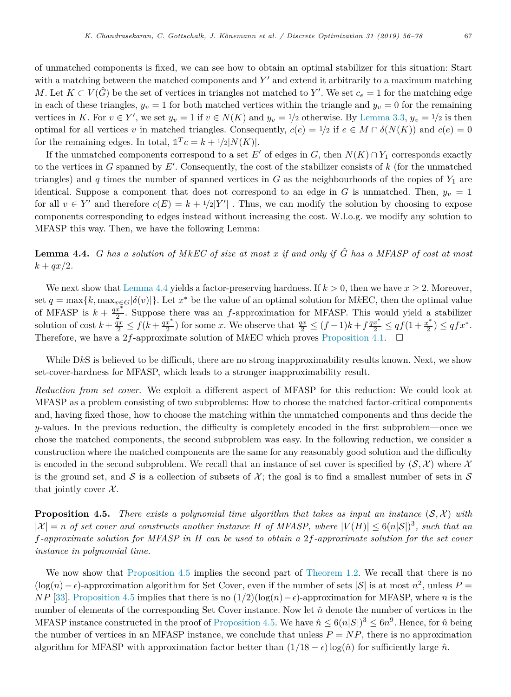of unmatched components is fixed, we can see how to obtain an optimal stabilizer for this situation: Start with a matching between the matched components and Y' and extend it arbitrarily to a maximum matching *M*. Let  $K \subset V(\hat{G})$  be the set of vertices in triangles not matched to Y'. We set  $c_e = 1$  for the matching edge in each of these triangles,  $y_v = 1$  for both matched vertices within the triangle and  $y_v = 0$  for the remaining vertices in *K*. For  $v \in Y'$ , we set  $y_v = 1$  if  $v \in N(K)$  and  $y_v = \frac{1}{2}$  otherwise. By [Lemma 3.3](#page-8-0),  $y_v = \frac{1}{2}$  is then optimal for all vertices *v* in matched triangles. Consequently,  $c(e) = \frac{1}{2}$  if  $e \in M \cap \delta(N(K))$  and  $c(e) = 0$ for the remaining edges. In total,  $\mathbb{1}^T c = k + \frac{1}{2} |N(K)|$ .

If the unmatched components correspond to a set *E*<sup>'</sup> of edges in *G*, then  $N(K) \cap Y_1$  corresponds exactly to the vertices in *G* spanned by *E*′ . Consequently, the cost of the stabilizer consists of *k* (for the unmatched triangles) and *q* times the number of spanned vertices in *G* as the neighbourhoods of the copies of  $Y_1$  are identical. Suppose a component that does not correspond to an edge in *G* is unmatched. Then,  $y_v = 1$ for all  $v \in Y'$  and therefore  $c(E) = k + 1/2|Y'|$ . Thus, we can modify the solution by choosing to expose components corresponding to edges instead without increasing the cost. W.l.o.g. we modify any solution to MFASP this way. Then, we have the following Lemma:

<span id="page-11-1"></span>**Lemma 4.4.** *G has a solution of MkEC of size at most x if and only if G*ˆ *has a MFASP of cost at most*  $k + qx/2$ .

We next show that [Lemma 4.4](#page-11-1) yields a factor-preserving hardness. If  $k > 0$ , then we have  $x \geq 2$ . Moreover, set  $q = \max\{k, \max_{v \in G} |\delta(v)|\}$ . Let  $x^*$  be the value of an optimal solution for MkEC, then the optimal value of MFASP is  $k + \frac{qx^*}{2}$ . Suppose there was an *f*-approximation for MFASP. This would yield a stabilizer solution of cost  $k + \frac{qx}{2} \le f(k + \frac{qx^*}{2})$  for some *x*. We observe that  $\frac{qx}{2} \le (f-1)k + \frac{qx^*}{2} \le qf(1 + \frac{x^*}{2})$  $\frac{x^*}{2}) \leq qfx^*.$ Therefore, we have a 2 $f$ -approximate solution of M*k*EC which proves [Proposition 4.1](#page-9-0). □

While D*k*S is believed to be difficult, there are no strong inapproximability results known. Next, we show set-cover-hardness for MFASP, which leads to a stronger inapproximability result.

*Reduction from set cover.* We exploit a different aspect of MFASP for this reduction: We could look at MFASP as a problem consisting of two subproblems: How to choose the matched factor-critical components and, having fixed those, how to choose the matching within the unmatched components and thus decide the *y*-values. In the previous reduction, the difficulty is completely encoded in the first subproblem—once we chose the matched components, the second subproblem was easy. In the following reduction, we consider a construction where the matched components are the same for any reasonably good solution and the difficulty is encoded in the second subproblem. We recall that an instance of set cover is specified by  $(S, \mathcal{X})$  where X is the ground set, and S is a collection of subsets of  $\mathcal{X}$ ; the goal is to find a smallest number of sets in S that jointly cover  $\mathcal{X}$ .

<span id="page-11-0"></span>**Proposition 4.5.** *There exists a polynomial time algorithm that takes as input an instance*  $(S, \mathcal{X})$  *with*  $|X| = n$  *of set cover and constructs another instance H of MFASP*, where  $|V(H)| \leq 6(n|S|)^3$ , such that an *f-approximate solution for MFASP in H can be used to obtain a* 2*f-approximate solution for the set cover instance in polynomial time.*

We now show that [Proposition 4.5](#page-11-0) implies the second part of [Theorem 1.2.](#page-2-0) We recall that there is no  $(\log(n) - \epsilon)$ -approximation algorithm for Set Cover, even if the number of sets |S| is at most *n*<sup>2</sup>, unless *P* = *NP* [\[33](#page-22-6)]. [Proposition 4.5](#page-11-0) implies that there is no  $(1/2)(\log(n) - \epsilon)$ -approximation for MFASP, where *n* is the number of elements of the corresponding Set Cover instance. Now let ˆ*n* denote the number of vertices in the MFASP instance constructed in the proof of [Proposition 4.5.](#page-11-0) We have  $\hat{n} \leq 6(n|S|)^3 \leq 6n^9$ . Hence, for  $\hat{n}$  being the number of vertices in an MFASP instance, we conclude that unless  $P = NP$ , there is no approximation algorithm for MFASP with approximation factor better than  $(1/18 - \epsilon) \log(\hat{n})$  for sufficiently large  $\hat{n}$ .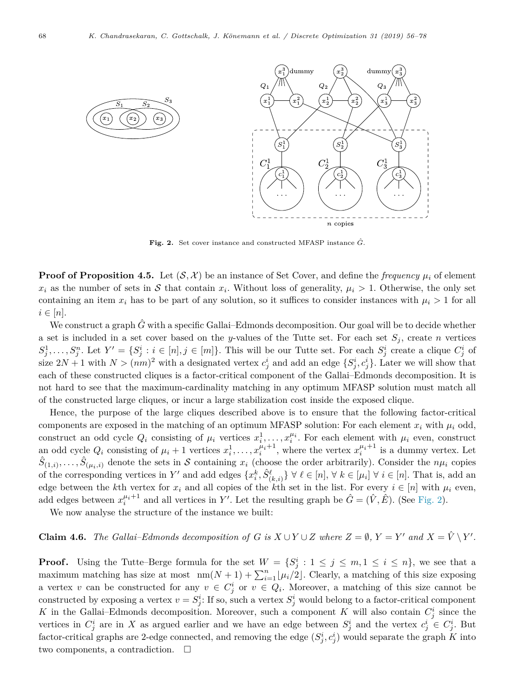<span id="page-12-0"></span>

**Fig. 2.** Set cover instance and constructed MFASP instance *G*ˆ.

**Proof of Proposition 4.5.** Let  $(S, \mathcal{X})$  be an instance of Set Cover, and define the *frequency*  $\mu_i$  of element  $x_i$  as the number of sets in S that contain  $x_i$ . Without loss of generality,  $\mu_i > 1$ . Otherwise, the only set containing an item  $x_i$  has to be part of any solution, so it suffices to consider instances with  $\mu_i > 1$  for all  $i \in [n]$ .

We construct a graph  $\tilde{G}$  with a specific Gallai–Edmonds decomposition. Our goal will be to decide whether a set is included in a set cover based on the *y*-values of the Tutte set. For each set  $S_j$ , create *n* vertices  $S_j^1, \ldots, S_j^n$ . Let  $Y' = \{S_j^i : i \in [n], j \in [m]\}$ . This will be our Tutte set. For each  $S_j^i$  create a clique  $C_j^i$  of size  $2N + 1$  with  $N > (nm)^2$  with a designated vertex  $c_j^i$  and add an edge  $\{S_j^i, c_j^i\}$ . Later we will show that each of these constructed cliques is a factor-critical component of the Gallai–Edmonds decomposition. It is not hard to see that the maximum-cardinality matching in any optimum MFASP solution must match all of the constructed large cliques, or incur a large stabilization cost inside the exposed clique.

Hence, the purpose of the large cliques described above is to ensure that the following factor-critical components are exposed in the matching of an optimum MFASP solution: For each element  $x_i$  with  $\mu_i$  odd, construct an odd cycle  $Q_i$  consisting of  $\mu_i$  vertices  $x_i^1, \ldots, x_i^{\mu_i}$ . For each element with  $\mu_i$  even, construct an odd cycle  $Q_i$  consisting of  $\mu_i + 1$  vertices  $x_i^1, \ldots, x_i^{\mu_i+1}$ , where the vertex  $x_i^{\mu_i+1}$  is a dummy vertex. Let  $\hat{S}_{(1,i)},\ldots,\hat{S}_{(\mu_i,i)}$  denote the sets in S containing  $x_i$  (choose the order arbitrarily). Consider the  $n\mu_i$  copies of the corresponding vertices in Y' and add edges  $\{x_i^k, \hat{S}_{(k,i)}^{\ell}\}\ \forall\ \ell \in [n], \forall\ k \in [\mu_i] \ \forall\ i \in [n]$ . That is, add an edge between the *k*th vertex for  $x_i$  and all copies of the *k*th set in the list. For every  $i \in [n]$  with  $\mu_i$  even, add edges between  $x_i^{\mu_i+1}$  and all vertices in Y'. Let the resulting graph be  $\hat{G} = (\hat{V}, \hat{E})$ . (See [Fig. 2\)](#page-12-0).

We now analyse the structure of the instance we built:

# **Claim 4.6.** *The Gallai–Edmonds decomposition of G is*  $X \cup Y \cup Z$  *where*  $Z = \emptyset$ ,  $Y = Y'$  *and*  $X = \hat{V} \setminus Y'$ *.*

**Proof.** Using the Tutte–Berge formula for the set  $W = \{S_j^i : 1 \leq j \leq m, 1 \leq i \leq n\}$ , we see that a maximum matching has size at most  $nm(N + 1) + \sum_{i=1}^{n} \lfloor \mu_i / 2 \rfloor$ . Clearly, a matching of this size exposing a vertex *v* can be constructed for any  $v \in C_j^i$  or  $v \in Q_i$ . Moreover, a matching of this size cannot be constructed by exposing a vertex  $v = S_j^i$ : If so, such a vertex  $S_j^i$  would belong to a factor-critical component *K* in the Gallai–Edmonds decomposition. Moreover, such a component *K* will also contain  $C_j^i$  since the vertices in  $C_j^i$  are in X as argued earlier and we have an edge between  $S_j^i$  and the vertex  $c_j^i \in C_j^i$ . But factor-critical graphs are 2-edge connected, and removing the edge  $(S_j^i, c_j^i)$  would separate the graph *K* into two components, a contradiction.  $\square$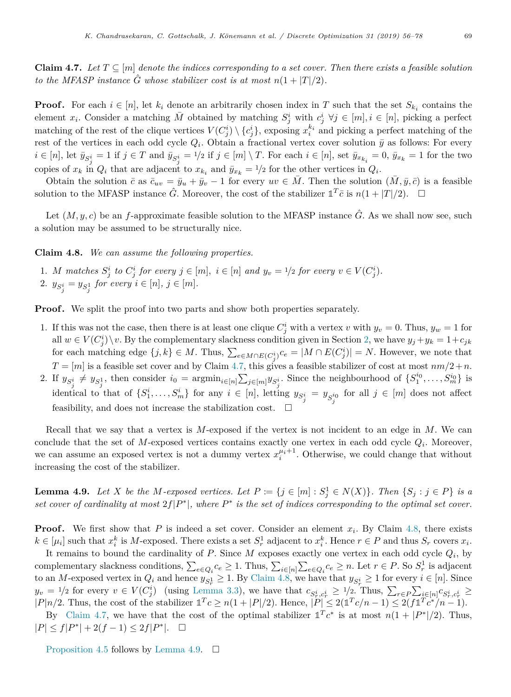<span id="page-13-0"></span>**Claim 4.7.** Let  $T \subseteq [m]$  denote the indices corresponding to a set cover. Then there exists a feasible solution *to the MFASP instance*  $\tilde{G}$  *whose stabilizer cost is at most*  $n(1 + |T|/2)$ *.* 

**Proof.** For each  $i \in [n]$ , let  $k_i$  denote an arbitrarily chosen index in *T* such that the set  $S_{k_i}$  contains the element *x<sub>i</sub>*. Consider a matching  $\overline{M}$  obtained by matching  $S_j^i$  with  $c_j^i \forall j \in [m], i \in [n]$ , picking a perfect matching of the rest of the clique vertices  $V(C_j^i) \setminus \{c_j^i\}$ , exposing  $x_i^{k_i}$  and picking a perfect matching of the rest of the vertices in each odd cycle  $Q_i$ . Obtain a fractional vertex cover solution  $\bar{y}$  as follows: For every  $i \in [n]$ , let  $\bar{y}_{S_j^i} = 1$  if  $j \in T$  and  $\bar{y}_{S_j^i} = 1/2$  if  $j \in [m] \setminus T$ . For each  $i \in [n]$ , set  $\bar{y}_{x_{k_i}} = 0$ ,  $\bar{y}_{x_k} = 1$  for the two copies of  $x_k$  in  $Q_i$  that are adjacent to  $x_{k_i}$  and  $\bar{y}_{x_k} = \frac{1}{2}$  for the other vertices in  $Q_i$ .

Obtain the solution  $\bar{c}$  as  $\bar{c}_{uv} = \bar{y}_u + \bar{y}_v - 1$  for every  $uv \in \bar{M}$ . Then the solution  $(\bar{M}, \bar{y}, \bar{c})$  is a feasible solution to the MFASP instance  $\hat{G}$ . Moreover, the cost of the stabilizer  $\mathbb{1}^T\bar{c}$  is  $n(1+|T|/2)$ .  $\Box$ 

Let  $(M, y, c)$  be an *f*-approximate feasible solution to the MFASP instance  $\hat{G}$ . As we shall now see, such a solution may be assumed to be structurally nice.

<span id="page-13-1"></span>**Claim 4.8.** *We can assume the following properties.*

1. M matches  $S_j^i$  to  $C_j^i$  for every  $j \in [m]$ ,  $i \in [n]$  and  $y_v = 1/2$  for every  $v \in V(C_j^i)$ . 2.  $y_{S_j^i} = y_{S_j^1}$  for every  $i \in [n], j \in [m]$ .

**Proof.** We split the proof into two parts and show both properties separately.

- 1. If this was not the case, then there is at least one clique  $C_j^i$  with a vertex *v* with  $y_v = 0$ . Thus,  $y_w = 1$  for all  $w \in V(C_j^i) \setminus v$ . By the complementary slackness condition given in Section [2,](#page-4-1) we have  $y_j + y_k = 1 + c_{jk}$ for each matching edge  $\{j, k\} \in M$ . Thus,  $\sum_{e \in M \cap E(C_j^i)} c_e = |M \cap E(C_j^i)| = N$ . However, we note that  $T = [m]$  is a feasible set cover and by Claim [4.7,](#page-13-0) this gives a feasible stabilizer of cost at most  $nm/2 + n$ .
- 2. If  $y_{S_j^i} \neq y_{S_j^1}$ , then consider  $i_0 = \operatorname{argmin}_{i \in [n]} \sum_{j \in [m]} y_{S_j^i}$ . Since the neighbourhood of  $\{S_1^{i_0}, \ldots, S_m^{i_0}\}$  is identical to that of  $\{S_1^i, \ldots, S_m^i\}$  for any  $i \in [n]$ , letting  $y_{S_j^i} = y_{S_j^{i_0}}$  for all  $j \in [m]$  does not affect feasibility, and does not increase the stabilization cost.  $\square$

Recall that we say that a vertex is *M*-exposed if the vertex is not incident to an edge in *M*. We can conclude that the set of *M*-exposed vertices contains exactly one vertex in each odd cycle *Q<sup>i</sup>* . Moreover, we can assume an exposed vertex is not a dummy vertex  $x_i^{\mu_i+1}$ . Otherwise, we could change that without increasing the cost of the stabilizer.

<span id="page-13-2"></span>**Lemma 4.9.** Let X be the M-exposed vertices. Let  $P := \{j \in [m] : S_j^1 \in N(X)\}\$ . Then  $\{S_j : j \in P\}$  is a *set cover of cardinality at most*  $2f|P^*|$ , where  $P^*$  is the set of indices corresponding to the optimal set cover.

**Proof.** We first show that  $P$  is indeed a set cover. Consider an element  $x_i$ . By Claim [4.8,](#page-13-1) there exists  $k \in [\mu_i]$  such that  $x_i^k$  is M-exposed. There exists a set  $S_r^1$  adjacent to  $x_i^k$ . Hence  $r \in P$  and thus  $S_r$  covers  $x_i$ .

It remains to bound the cardinality of *P*. Since *M* exposes exactly one vertex in each odd cycle *Q<sup>i</sup>* , by complementary slackness conditions,  $\sum_{e \in Q_i} c_e \ge 1$ . Thus,  $\sum_{i \in [n]} \sum_{e \in Q_i} c_e \ge n$ . Let  $r \in P$ . So  $S_r^1$  is adjacent to an *M*-exposed vertex in  $Q_i$  and hence  $y_{S_r^1} \ge 1$ . By [Claim 4.8,](#page-13-1) we have that  $y_{S_r^i} \ge 1$  for every  $i \in [n]$ . Since  $y_v = 1/2$  for every  $v \in V(C_j^i)$  (using [Lemma 3.3](#page-8-0)), we have that  $c_{S_r^i, c_r^i} \geq 1/2$ . Thus,  $\sum_{r \in P} \sum_{i \in [n]} c_{S_r^i, c_r^i} \geq$  $|P|n/2$ . Thus, the cost of the stabilizer  $\mathbb{1}^T c \geq n(1+|P|/2)$ . Hence,  $|P| \leq 2(\mathbb{1}^T c/n-1) \leq 2(f\mathbb{1}^T c^*/n-1)$ .

By [Claim 4.7](#page-13-0), we have that the cost of the optimal stabilizer  $\mathbb{1}^T c^*$  is at most  $n(1+|P^*|/2)$ . Thus,  $|P|$  ≤ *f*|*P*<sup>\*</sup>| + 2(*f* − 1) ≤ 2*f*|*P*<sup>\*</sup>|. □

[Proposition 4.5](#page-11-0) follows by [Lemma 4.9](#page-13-2).  $\Box$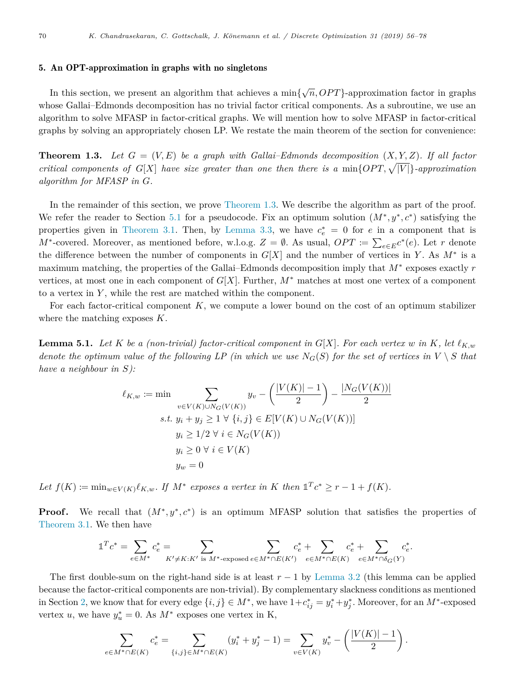### <span id="page-14-2"></span>5. An OPT-approximation in graphs with no singletons

In this section, we present an algorithm that achieves a  $\min{\{\sqrt{n}, OPT\}}$ -approximation factor in graphs whose Gallai–Edmonds decomposition has no trivial factor critical components. As a subroutine, we use an algorithm to solve MFASP in factor-critical graphs. We will mention how to solve MFASP in factor-critical graphs by solving an appropriately chosen LP. We restate the main theorem of the section for convenience:

<span id="page-14-0"></span>**Theorem 1.3.** *Let*  $G = (V, E)$  *be a graph with Gallai–Edmonds decomposition*  $(X, Y, Z)$ *. If all factor critical components of*  $G[X]$  *have size greater than one then there is a* min $\{OPT, \sqrt{|V|}\}$ *-approximation algorithm for MFASP in G.*

In the remainder of this section, we prove [Theorem 1.3.](#page-14-0) We describe the algorithm as part of the proof. We refer the reader to Section [5.1](#page-17-0) for a pseudocode. Fix an optimum solution  $(M^*, y^*, c^*)$  satisfying the properties given in [Theorem 3.1.](#page-4-0) Then, by [Lemma 3.3,](#page-8-0) we have  $c_e^* = 0$  for  $e$  in a component that is *M*<sup>∗</sup>-covered. Moreover, as mentioned before, w.l.o.g. *Z* = ∅. As usual,  $OPT := \sum_{e \in E} c^*(e)$ . Let *r* denote the difference between the number of components in  $G[X]$  and the number of vertices in *Y*. As  $M^*$  is a maximum matching, the properties of the Gallai–Edmonds decomposition imply that *M*<sup>∗</sup> exposes exactly *r* vertices, at most one in each component of  $G[X]$ . Further,  $M^*$  matches at most one vertex of a component to a vertex in *Y* , while the rest are matched within the component.

For each factor-critical component *K*, we compute a lower bound on the cost of an optimum stabilizer where the matching exposes *K*.

<span id="page-14-1"></span>**Lemma 5.1.** Let  $K$  be a (non-trivial) factor-critical component in  $G[X]$ . For each vertex  $w$  in  $K$ , let  $\ell_{K,w}$ *denote the optimum value of the following LP (in which we use*  $N_G(S)$  *for the set of vertices in*  $V \setminus S$  *that have a neighbour in S):*

$$
\ell_{K,w} := \min \sum_{v \in V(K) \cup N_G(V(K))} y_v - \left(\frac{|V(K)| - 1}{2}\right) - \frac{|N_G(V(K))|}{2}
$$
  
s.t.  $y_i + y_j \ge 1 \ \forall \{i, j\} \in E[V(K) \cup N_G(V(K))]$   
 $y_i \ge 1/2 \ \forall \ i \in N_G(V(K))$   
 $y_i \ge 0 \ \forall \ i \in V(K)$   
 $y_w = 0$ 

*Let*  $f(K) := \min_{w \in V(K)} \ell_{K,w}$ *. If*  $M^*$  exposes a vertex in K then  $\mathbb{1}^T c^* \geq r - 1 + f(K)$ *.* 

**Proof.** We recall that  $(M^*, y^*, c^*)$  is an optimum MFASP solution that satisfies the properties of [Theorem 3.1.](#page-4-0) We then have

$$
\mathbb{1}^T c^* = \sum_{e \in M^*} c_e^* = \sum_{K' \neq K: K' \text{ is } M^* \text{-exposed } e \in M^* \cap E(K')} c_e^* + \sum_{e \in M^* \cap E(K)} c_e^* + \sum_{e \in M^* \cap \delta_G(Y)} c_e^*.
$$

The first double-sum on the right-hand side is at least *r* − 1 by [Lemma 3.2](#page-7-0) (this lemma can be applied because the factor-critical components are non-trivial). By complementary slackness conditions as mentioned in Section [2,](#page-4-1) we know that for every edge  $\{i, j\} \in M^*$ , we have  $1 + c_{ij}^* = y_i^* + y_j^*$ . Moreover, for an  $M^*$ -exposed vertex *u*, we have  $y_u^* = 0$ . As  $M^*$  exposes one vertex in K,

$$
\sum_{e \in M^* \cap E(K)} c_e^* = \sum_{\{i,j\} \in M^* \cap E(K)} (y_i^* + y_j^* - 1) = \sum_{v \in V(K)} y_v^* - \left(\frac{|V(K)| - 1}{2}\right).
$$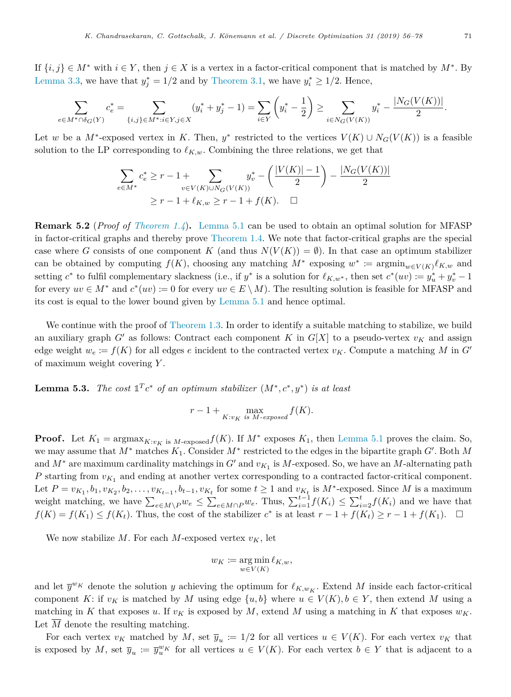If  $\{i, j\} \in M^*$  with  $i \in Y$ , then  $j \in X$  is a vertex in a factor-critical component that is matched by  $M^*$ . By [Lemma 3.3](#page-8-0), we have that  $y_j^* = 1/2$  and by [Theorem 3.1,](#page-4-0) we have  $y_i^* \ge 1/2$ . Hence,

$$
\sum_{e \in M^* \cap \delta_G(Y)} c_e^* = \sum_{\{i,j\} \in M^*: i \in Y, j \in X} (y_i^* + y_j^* - 1) = \sum_{i \in Y} \left( y_i^* - \frac{1}{2} \right) \ge \sum_{i \in N_G(V(K))} y_i^* - \frac{|N_G(V(K))|}{2}.
$$

Let *w* be a  $M^*$ -exposed vertex in *K*. Then,  $y^*$  restricted to the vertices  $V(K) \cup N_G(V(K))$  is a feasible solution to the LP corresponding to  $\ell_{K,w}$ . Combining the three relations, we get that

$$
\sum_{e \in M^*} c_e^* \ge r - 1 + \sum_{v \in V(K) \cup N_G(V(K))} y_v^* - \left( \frac{|V(K)| - 1}{2} \right) - \frac{|N_G(V(K))|}{2}
$$
  
 
$$
\ge r - 1 + \ell_{K,w} \ge r - 1 + f(K). \quad \Box
$$

**Remark 5.2** (*Proof of [Theorem 1.4](#page-3-0)*)**.** [Lemma 5.1](#page-14-1) can be used to obtain an optimal solution for MFASP in factor-critical graphs and thereby prove [Theorem 1.4](#page-3-0). We note that factor-critical graphs are the special case where *G* consists of one component *K* (and thus  $N(V(K)) = \emptyset$ ). In that case an optimum stabilizer can be obtained by computing  $f(K)$ , choosing any matching  $M^*$  exposing  $w^* := \operatorname{argmin}_{w \in V(K)} \ell_{K,w}$  and setting  $c^*$  to fulfil complementary slackness (i.e., if  $y^*$  is a solution for  $\ell_{K,w^*}$ , then set  $c^*(uv) := y_u^* + y_v^* - 1$ for every  $uv \in M^*$  and  $c^*(uv) := 0$  for every  $uv \in E \setminus M$ ). The resulting solution is feasible for MFASP and its cost is equal to the lower bound given by [Lemma 5.1](#page-14-1) and hence optimal.

We continue with the proof of [Theorem 1.3.](#page-14-0) In order to identify a suitable matching to stabilize, we build an auxiliary graph  $G'$  as follows: Contract each component  $K$  in  $G[X]$  to a pseudo-vertex  $v_K$  and assign edge weight  $w_e := f(K)$  for all edges *e* incident to the contracted vertex  $v_K$ . Compute a matching *M* in *G*<sup> $\prime$ </sup> of maximum weight covering *Y* .

**Lemma 5.3.** *The cost*  $\mathbb{1}^T c^*$  *of an optimum stabilizer*  $(M^*, c^*, y^*)$  *is at least* 

$$
r - 1 + \max_{K: v_K \text{ is } M\text{-exposed}} f(K).
$$

**Proof.** Let  $K_1 = \text{argmax}_{K:v_K}$  is *M*-exposed  $f(K)$ . If  $M^*$  exposes  $K_1$ , then [Lemma 5.1](#page-14-1) proves the claim. So, we may assume that *M*<sup>∗</sup> matches *K*1. Consider *M*<sup>∗</sup> restricted to the edges in the bipartite graph *G*′ . Both *M* and  $M^*$  are maximum cardinality matchings in  $G'$  and  $v_{K_1}$  is  $M$ -exposed. So, we have an  $M$ -alternating path *P* starting from  $v_{K_1}$  and ending at another vertex corresponding to a contracted factor-critical component. Let  $P = v_{K_1}, b_1, v_{K_2}, b_2, \ldots, v_{K_{t-1}}, b_{t-1}, v_{K_t}$  for some  $t \ge 1$  and  $v_{K_t}$  is  $M^*$ -exposed. Since M is a maximum weight matching, we have  $\sum_{e \in M \setminus P} w_e \leq \sum_{e \in M \cap P} w_e$ . Thus,  $\sum_{i=1}^{t-1} f(K_i) \leq \sum_{i=2}^{t} f(K_i)$  and we have that  $f(K) = f(K_1) \le f(K_t)$ . Thus, the cost of the stabilizer  $c^*$  is at least  $r - 1 + f(K_t) \ge r - 1 + f(K_1)$ . □

We now stabilize  $M$ . For each  $M$ -exposed vertex  $v_K$ , let

$$
w_K := \underset{w \in V(K)}{\arg \min} \ell_{K,w},
$$

and let  $\bar{y}^{w_K}$  denote the solution *y* achieving the optimum for  $\ell_{K,w_K}$ . Extend *M* inside each factor-critical component *K*: if  $v_K$  is matched by *M* using edge  $\{u, b\}$  where  $u \in V(K)$ ,  $b \in Y$ , then extend *M* using a matching in *K* that exposes *u*. If  $v_K$  is exposed by *M*, extend *M* using a matching in *K* that exposes  $w_K$ . Let *M* denote the resulting matching.

For each vertex  $v_K$  matched by M, set  $\overline{y}_u := 1/2$  for all vertices  $u \in V(K)$ . For each vertex  $v_K$  that is exposed by *M*, set  $\overline{y}_u := \overline{y}_u^w$  for all vertices  $u \in V(K)$ . For each vertex  $b \in Y$  that is adjacent to a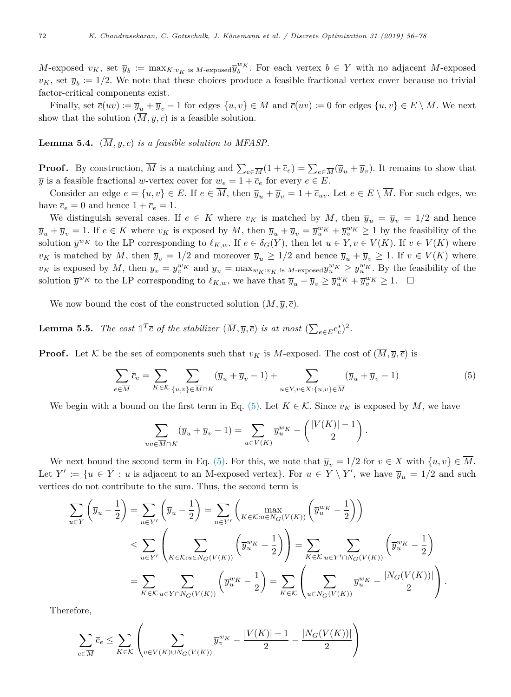*M*-exposed  $v_K$ , set  $\overline{y}_b := \max_{K: v_K}$  is *M*-exposed  $\overline{y}_b^{w_K}$ . For each vertex  $b \in Y$  with no adjacent *M*-exposed  $v_K$ , set  $\bar{y}_b := 1/2$ . We note that these choices produce a feasible fractional vertex cover because no trivial factor-critical components exist.

Finally, set  $\overline{c}(uv) := \overline{y}_u + \overline{y}_v - 1$  for edges  $\{u, v\} \in \overline{M}$  and  $\overline{c}(uv) := 0$  for edges  $\{u, v\} \in E \setminus \overline{M}$ . We next show that the solution  $(\overline{M}, \overline{y}, \overline{c})$  is a feasible solution.

### <span id="page-16-2"></span>**Lemma 5.4.**  $(\overline{M}, \overline{y}, \overline{c})$  *is a feasible solution to MFASP.*

**Proof.** By construction, M is a matching and  $\sum_{e \in \overline{M}} (1 + \overline{c}_e) = \sum_{e \in \overline{M}} (\overline{y}_u + \overline{y}_v)$ . It remains to show that *y* is a feasible fractional *w*-vertex cover for  $w_e = 1 + \overline{c}_e$  for every  $e \in E$ .

Consider an edge  $e = \{u, v\} \in E$ . If  $e \in \overline{M}$ , then  $\overline{y}_u + \overline{y}_v = 1 + \overline{c}_{uv}$ . Let  $e \in E \setminus \overline{M}$ . For such edges, we have  $\bar{c}_e = 0$  and hence  $1 + \bar{c}_e = 1$ .

We distinguish several cases. If  $e \in K$  where  $v_K$  is matched by *M*, then  $\overline{y}_u = \overline{y}_v = 1/2$  and hence  $\overline{y}_u + \overline{y}_v = 1$ . If  $e \in K$  where  $v_K$  is exposed by M, then  $\overline{y}_u + \overline{y}_v = \overline{y}_u^{w_K} + \overline{y}_v^{w_K} \ge 1$  by the feasibility of the solution  $\overline{y}^{w_K}$  to the LP corresponding to  $\ell_{K,w}$ . If  $e \in \delta_G(Y)$ , then let  $u \in Y, v \in V(K)$ . If  $v \in V(K)$  where *v<sub>K</sub>* is matched by *M*, then  $\overline{y}_v = 1/2$  and moreover  $\overline{y}_u \geq 1/2$  and hence  $\overline{y}_u + \overline{y}_v \geq 1$ . If  $v \in V(K)$  where  $v_K$  is exposed by M, then  $\overline{y}_v = \overline{y}_v^{w_K}$  and  $\overline{y}_u = \max_{w_K : v_K$  is M-exposed  $\overline{y}_u^{w_K} \ge \overline{y}_u^{w_K}$ . By the feasibility of the solution  $\overline{y}^{w_K}$  to the LP corresponding to  $\ell_{K,w}$ , we have that  $\overline{y}_u + \overline{y}_v \geq \overline{y}_u^{w_K} + \overline{y}_v^{w_K} \geq 1$ .  $\Box$ 

We now bound the cost of the constructed solution  $(\overline{M}, \overline{y}, \overline{c})$ .

<span id="page-16-1"></span>**Lemma 5.5.** *The cost*  $\mathbb{1}^T \bar{c}$  *of the stabilizer*  $(\overline{M}, \overline{y}, \overline{c})$  *is at most*  $(\sum_{e \in E} c_e^*)^2$ .

**Proof.** Let K be the set of components such that  $v_K$  is M-exposed. The cost of  $(\overline{M}, \overline{y}, \overline{c})$  is

<span id="page-16-0"></span>
$$
\sum_{e \in \overline{M}} \overline{c}_e = \sum_{K \in \mathcal{K}} \sum_{\{u,v\} \in \overline{M} \cap K} (\overline{y}_u + \overline{y}_v - 1) + \sum_{u \in Y, v \in X: \{u,v\} \in \overline{M}} (\overline{y}_u + \overline{y}_v - 1)
$$
(5)

We begin with a bound on the first term in Eq. [\(5\).](#page-16-0) Let  $K \in \mathcal{K}$ . Since  $v_K$  is exposed by M, we have

$$
\sum_{uv \in \overline{M} \cap K} (\overline{y}_u + \overline{y}_v - 1) = \sum_{u \in V(K)} \overline{y}_u^{w_K} - \left(\frac{|V(K)| - 1}{2}\right).
$$

We next bound the second term in Eq. [\(5\).](#page-16-0) For this, we note that  $\overline{y}_v = 1/2$  for  $v \in X$  with  $\{u, v\} \in \overline{M}$ . Let  $Y' := \{u \in Y : u \text{ is adjacent to an M-exposed vertex}\}\.$  For  $u \in Y \setminus Y'$ , we have  $\overline{y}_u = 1/2$  and such vertices do not contribute to the sum. Thus, the second term is

$$
\sum_{u \in Y} \left( \overline{y}_u - \frac{1}{2} \right) = \sum_{u \in Y'} \left( \overline{y}_u - \frac{1}{2} \right) = \sum_{u \in Y'} \left( \max_{K \in \mathcal{K}: u \in N_G(V(K))} \left( \overline{y}_u^{w_K} - \frac{1}{2} \right) \right)
$$
\n
$$
\leq \sum_{u \in Y'} \left( \sum_{K \in \mathcal{K}: u \in N_G(V(K))} \left( \overline{y}_u^{w_K} - \frac{1}{2} \right) \right) = \sum_{K \in \mathcal{K}} \sum_{u \in Y' \cap N_G(V(K))} \left( \overline{y}_u^{w_K} - \frac{1}{2} \right)
$$
\n
$$
= \sum_{K \in \mathcal{K}} \sum_{u \in Y \cap N_G(V(K))} \left( \overline{y}_u^{w_K} - \frac{1}{2} \right) = \sum_{K \in \mathcal{K}} \left( \sum_{u \in N_G(V(K))} \overline{y}_u^{w_K} - \frac{|N_G(V(K))|}{2} \right).
$$

Therefore,

$$
\sum_{e \in \overline{M}} \overline{c}_e \le \sum_{K \in \mathcal{K}} \left( \sum_{v \in V(K) \cup N_G(V(K))} \overline{y}_v^{w_K} - \frac{|V(K)| - 1}{2} - \frac{|N_G(V(K))|}{2} \right)
$$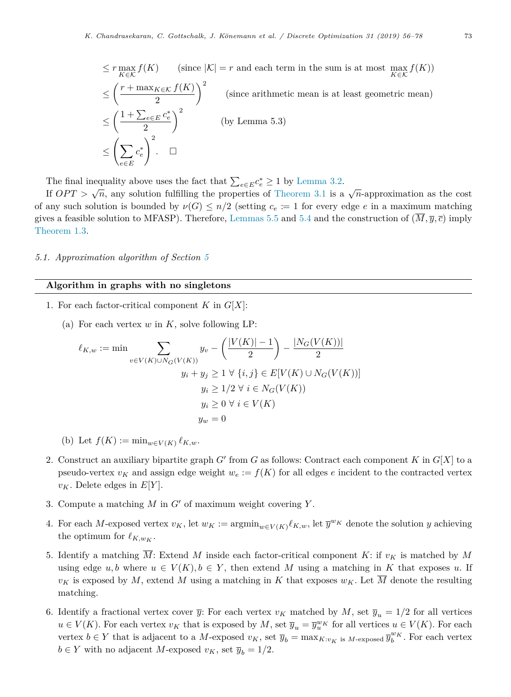$$
\leq r \max_{K \in \mathcal{K}} f(K) \qquad \text{(since } |\mathcal{K}| = r \text{ and each term in the sum is at most } \max_{K \in \mathcal{K}} f(K) \text{)}
$$
\n
$$
\leq \left(\frac{r + \max_{K \in \mathcal{K}} f(K)}{2}\right)^2 \qquad \text{(since arithmetic mean is at least geometric mean)}
$$
\n
$$
\leq \left(\frac{1 + \sum_{e \in E} c_e^*}{2}\right)^2 \qquad \text{(by Lemma 5.3)}
$$
\n
$$
\leq \left(\sum_{e \in E} c_e^*\right)^2. \qquad \Box
$$

The final inequality above uses the fact that  $\sum_{e \in E} c_e^* \ge 1$  by [Lemma 3.2.](#page-7-0)

If  $OPT > \sqrt{n}$ , any solution fulfilling the properties of [Theorem 3.1](#page-4-0) is a  $\sqrt{n}$ -approximation as the cost of any such solution is bounded by  $\nu(G) \leq n/2$  (setting  $c_e := 1$  for every edge *e* in a maximum matching gives a feasible solution to MFASP). Therefore, [Lemmas 5.5](#page-16-1) and [5.4](#page-16-2) and the construction of  $(\overline{M}, \overline{y}, \overline{c})$  imply [Theorem 1.3.](#page-14-0)

### <span id="page-17-0"></span>*5.1. Approximation algorithm of Section [5](#page-14-2)*

### **Algorithm in graphs with no singletons**

- 1. For each factor-critical component  $K$  in  $G[X]$ :
	- (a) For each vertex *w* in *K*, solve following LP:

$$
\ell_{K,w} := \min \sum_{v \in V(K) \cup N_G(V(K))} y_v - \left(\frac{|V(K)| - 1}{2}\right) - \frac{|N_G(V(K))|}{2}
$$

$$
y_i + y_j \ge 1 \ \forall \ \{i, j\} \in E[V(K) \cup N_G(V(K))]
$$

$$
y_i \ge 1/2 \ \forall \ i \in N_G(V(K))
$$

$$
y_i \ge 0 \ \forall \ i \in V(K)
$$

$$
y_w = 0
$$

- (b) Let  $f(K) := \min_{w \in V(K)} \ell_{K,w}$ .
- 2. Construct an auxiliary bipartite graph  $G'$  from  $G$  as follows: Contract each component  $K$  in  $G[X]$  to a pseudo-vertex  $v_K$  and assign edge weight  $w_e := f(K)$  for all edges *e* incident to the contracted vertex  $v_K$ . Delete edges in  $E[Y]$ .
- 3. Compute a matching *M* in *G*′ of maximum weight covering *Y* .
- 4. For each *M*-exposed vertex  $v_K$ , let  $w_K := \text{argmin}_{w \in V(K)} \ell_{K,w}$ , let  $\overline{y}^{w_K}$  denote the solution *y* achieving the optimum for  $\ell_{K,w_K}$ .
- 5. Identify a matching  $\overline{M}$ : Extend *M* inside each factor-critical component *K*: if  $v_K$  is matched by *M* using edge  $u, b$  where  $u \in V(K), b \in Y$ , then extend M using a matching in K that exposes u. If  $v_K$  is exposed by *M*, extend *M* using a matching in *K* that exposes  $w_K$ . Let  $\overline{M}$  denote the resulting matching.
- 6. Identify a fractional vertex cover  $\overline{y}$ : For each vertex  $v_K$  matched by M, set  $\overline{y}_u = 1/2$  for all vertices  $u \in V(K)$ . For each vertex  $v_K$  that is exposed by *M*, set  $\overline{y}_u = \overline{y}_u^{w_K}$  for all vertices  $u \in V(K)$ . For each vertex  $b \in Y$  that is adjacent to a *M*-exposed  $v_K$ , set  $\overline{y}_b = \max_{K: v_K}$  is *M*-exposed  $\overline{y}_b^{w_K}$ . For each vertex  $b \in Y$  with no adjacent *M*-exposed  $v_K$ , set  $\overline{y}_b = 1/2$ .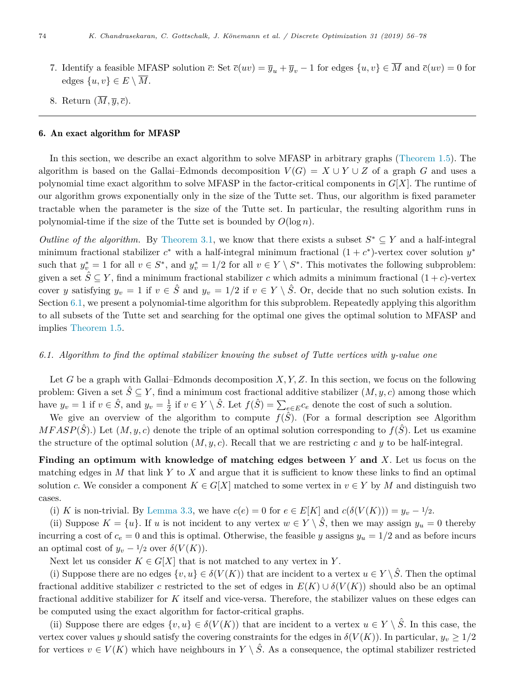- 7. Identify a feasible MFASP solution  $\bar{c}$ : Set  $\bar{c}(uv) = \bar{y}_u + \bar{y}_v 1$  for edges  $\{u, v\} \in \overline{M}$  and  $\bar{c}(uv) = 0$  for edges  $\{u, v\} \in E \setminus \overline{M}$ .
- 8. Return  $(\overline{M}, \overline{y}, \overline{c})$ .

### 6. An exact algorithm for MFASP

In this section, we describe an exact algorithm to solve MFASP in arbitrary graphs ([Theorem 1.5\)](#page-3-1). The algorithm is based on the Gallai–Edmonds decomposition  $V(G) = X \cup Y \cup Z$  of a graph *G* and uses a polynomial time exact algorithm to solve MFASP in the factor-critical components in *G*[*X*]. The runtime of our algorithm grows exponentially only in the size of the Tutte set. Thus, our algorithm is fixed parameter tractable when the parameter is the size of the Tutte set. In particular, the resulting algorithm runs in polynomial-time if the size of the Tutte set is bounded by *O*(log *n*).

*Outline of the algorithm.* By [Theorem 3.1,](#page-4-0) we know that there exists a subset  $S^* \subseteq Y$  and a half-integral minimum fractional stabilizer  $c^*$  with a half-integral minimum fractional  $(1 + c^*)$ -vertex cover solution  $y^*$ such that  $y_v^* = 1$  for all  $v \in S^*$ , and  $y_v^* = 1/2$  for all  $v \in Y \setminus S^*$ . This motivates the following subproblem: given a set  $\hat{S} \subseteq Y$ , find a minimum fractional stabilizer *c* which admits a minimum fractional  $(1 + c)$ -vertex cover *y* satisfying  $y_v = 1$  if  $v \in \hat{S}$  and  $y_v = 1/2$  if  $v \in Y \setminus \hat{S}$ . Or, decide that no such solution exists. In Section [6.1,](#page-18-0) we present a polynomial-time algorithm for this subproblem. Repeatedly applying this algorithm to all subsets of the Tutte set and searching for the optimal one gives the optimal solution to MFASP and implies [Theorem 1.5.](#page-3-1)

### <span id="page-18-0"></span>*6.1. Algorithm to find the optimal stabilizer knowing the subset of Tutte vertices with y-value one*

Let *G* be a graph with Gallai–Edmonds decomposition *X, Y, Z.* In this section, we focus on the following problem: Given a set  $\hat{S} \subseteq Y$ , find a minimum cost fractional additive stabilizer  $(M, y, c)$  among those which have  $y_v = 1$  if  $v \in \hat{S}$ , and  $y_v = \frac{1}{2}$  if  $v \in Y \setminus \hat{S}$ . Let  $f(\hat{S}) = \sum_{e \in E} c_e$  denote the cost of such a solution.

We give an overview of the algorithm to compute  $f(\hat{S})$ . (For a formal description see Algorithm *MF ASP* $(\hat{S})$ .) Let  $(M, y, c)$  denote the triple of an optimal solution corresponding to  $f(\hat{S})$ . Let us examine the structure of the optimal solution  $(M, y, c)$ . Recall that we are restricting c and y to be half-integral.

**Finding an optimum with knowledge of matching edges between** *Y* **and** *X*. Let us focus on the matching edges in *M* that link *Y* to *X* and argue that it is sufficient to know these links to find an optimal solution *c*. We consider a component  $K \in G[X]$  matched to some vertex in  $v \in Y$  by M and distinguish two cases.

(i) *K* is non-trivial. By [Lemma 3.3,](#page-8-0) we have  $c(e) = 0$  for  $e \in E[K]$  and  $c(\delta(V(K))) = y_v - 1/2$ .

(ii) Suppose  $K = \{u\}$ . If *u* is not incident to any vertex  $w \in Y \setminus \hat{S}$ , then we may assign  $y_u = 0$  thereby incurring a cost of  $c_e = 0$  and this is optimal. Otherwise, the feasible *y* assigns  $y_u = 1/2$  and as before incurs an optimal cost of  $y_v - \frac{1}{2}$  over  $\delta(V(K))$ .

Next let us consider  $K \in G[X]$  that is not matched to any vertex in *Y*.

(i) Suppose there are no edges  $\{v, u\} \in \delta(V(K))$  that are incident to a vertex  $u \in Y \setminus \hat{S}$ . Then the optimal fractional additive stabilizer *c* restricted to the set of edges in  $E(K) \cup \delta(V(K))$  should also be an optimal fractional additive stabilizer for *K* itself and vice-versa. Therefore, the stabilizer values on these edges can be computed using the exact algorithm for factor-critical graphs.

(ii) Suppose there are edges  $\{v, u\} \in \delta(V(K))$  that are incident to a vertex  $u \in Y \setminus \hat{S}$ . In this case, the vertex cover values *y* should satisfy the covering constraints for the edges in  $\delta(V(K))$ . In particular,  $y_v \geq 1/2$ for vertices  $v \in V(K)$  which have neighbours in  $Y \setminus \hat{S}$ . As a consequence, the optimal stabilizer restricted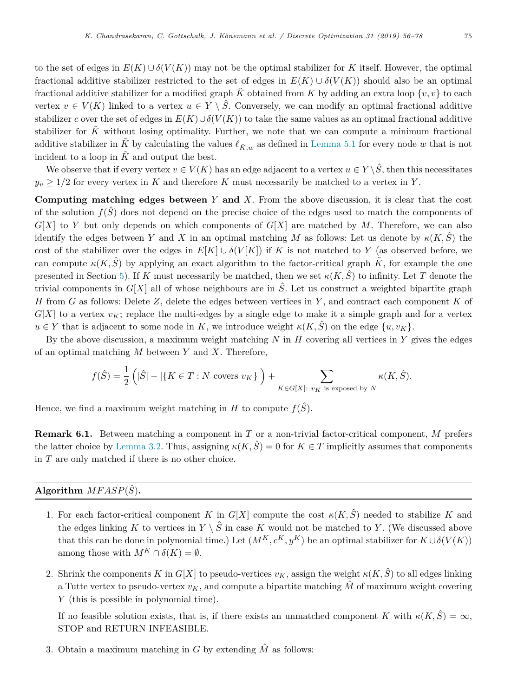to the set of edges in  $E(K) \cup \delta(V(K))$  may not be the optimal stabilizer for K itself. However, the optimal fractional additive stabilizer restricted to the set of edges in  $E(K) \cup \delta(V(K))$  should also be an optimal fractional additive stabilizer for a modified graph  $\tilde{K}$  obtained from  $K$  by adding an extra loop  $\{v, v\}$  to each vertex  $v \in V(K)$  linked to a vertex  $u \in Y \setminus \hat{S}$ . Conversely, we can modify an optimal fractional additive stabilizer *c* over the set of edges in  $E(K) \cup \delta(V(K))$  to take the same values as an optimal fractional additive stabilizer for  $\tilde{K}$  without losing optimality. Further, we note that we can compute a minimum fractional additive stabilizer in  $\tilde{K}$  by calculating the values  $\ell_{\tilde{K},w}$  as defined in [Lemma 5.1](#page-14-1) for every node *w* that is not incident to a loop in  $\tilde{K}$  and output the best.

We observe that if every vertex  $v \in V(K)$  has an edge adjacent to a vertex  $u \in Y \setminus \hat{S}$ , then this necessitates  $y_v \geq 1/2$  for every vertex in *K* and therefore *K* must necessarily be matched to a vertex in *Y*.

**Computing matching edges between** *Y* **and** *X*. From the above discussion, it is clear that the cost of the solution  $f(\hat{S})$  does not depend on the precise choice of the edges used to match the components of  $G[X]$  to *Y* but only depends on which components of  $G[X]$  are matched by *M*. Therefore, we can also identify the edges between *Y* and *X* in an optimal matching *M* as follows: Let us denote by  $\kappa(K, \hat{S})$  the cost of the stabilizer over the edges in  $E[K] \cup \delta(V[K])$  if K is not matched to Y (as observed before, we can compute  $\kappa(K, \hat{S})$  by applying an exact algorithm to the factor-critical graph  $\tilde{K}$ , for example the one presented in Section [5](#page-14-2)). If *K* must necessarily be matched, then we set  $\kappa(K, \hat{S})$  to infinity. Let *T* denote the trivial components in  $G[X]$  all of whose neighbours are in  $\hat{S}$ . Let us construct a weighted bipartite graph *H* from *G* as follows: Delete *Z*, delete the edges between vertices in *Y* , and contract each component *K* of  $G[X]$  to a vertex  $v_K$ ; replace the multi-edges by a single edge to make it a simple graph and for a vertex  $u \in Y$  that is adjacent to some node in *K*, we introduce weight  $\kappa(K, \hat{S})$  on the edge  $\{u, v_K\}$ .

By the above discussion, a maximum weight matching *N* in *H* covering all vertices in *Y* gives the edges of an optimal matching *M* between *Y* and *X*. Therefore,

$$
f(\hat{S}) = \frac{1}{2} (|\hat{S}| - |\{K \in T : N \text{ covers } v_K\}|) + \sum_{K \in G[X]: v_K \text{ is exposed by } N} \kappa(K, \hat{S}).
$$

Hence, we find a maximum weight matching in *H* to compute  $f(\hat{S})$ .

**Remark 6.1.** Between matching a component in *T* or a non-trivial factor-critical component, *M* prefers the latter choice by [Lemma 3.2](#page-7-0). Thus, assigning  $\kappa(K,\hat{S}) = 0$  for  $K \in T$  implicitly assumes that components in *T* are only matched if there is no other choice.

# Algorithm  $MFASP(\hat{S})$ .

- 1. For each factor-critical component *K* in  $G[X]$  compute the cost  $\kappa(K, \hat{S})$  needed to stabilize *K* and the edges linking *K* to vertices in  $Y \setminus \hat{S}$  in case *K* would not be matched to *Y*. (We discussed above that this can be done in polynomial time.) Let  $(M^K, c^K, y^K)$  be an optimal stabilizer for  $K \cup \delta(V(K))$ among those with  $M^K \cap \delta(K) = \emptyset$ .
- 2. Shrink the components *K* in  $G[X]$  to pseudo-vertices  $v_K$ , assign the weight  $\kappa(K, \hat{S})$  to all edges linking a Tutte vertex to pseudo-vertex  $v_K$ , and compute a bipartite matching  $\hat{M}$  of maximum weight covering *Y* (this is possible in polynomial time).

If no feasible solution exists, that is, if there exists an unmatched component *K* with  $\kappa(K,\hat{S}) = \infty$ , STOP and RETURN INFEASIBLE.

3. Obtain a maximum matching in *G* by extending  $\hat{M}$  as follows: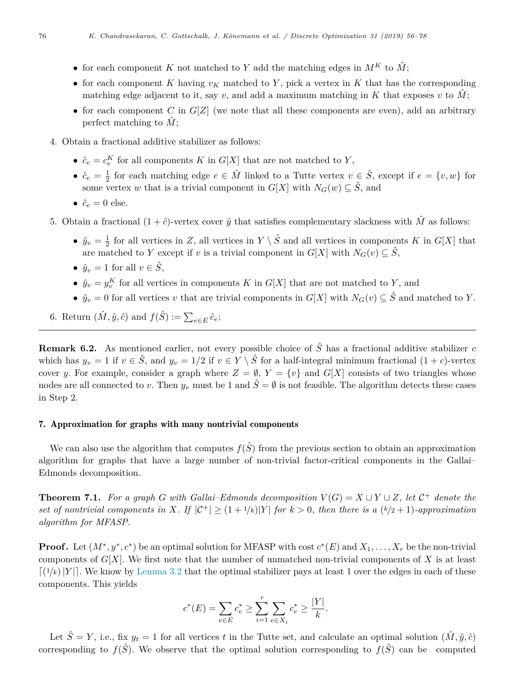- $\bullet$  for each component  $K$  not matched to  $Y$  add the matching edges in  $M^K$  to  $\hat{M}$  :
- for each component *K* having  $v_K$  matched to *Y*, pick a vertex in *K* that has the corresponding matching edge adjacent to it, say  $v$ , and add a maximum matching in K that exposes  $v$  to  $\hat{M}$ ;
- for each component *C* in  $G[Z]$  (we note that all these components are even), add an arbitrary perfect matching to  $\hat{M}$ :
- 4. Obtain a fractional additive stabilizer as follows:
	- $\hat{c}_e = c_e^K$  for all components *K* in  $G[X]$  that are not matched to *Y*,
	- $\hat{c}_e = \frac{1}{2}$  for each matching edge  $e \in \hat{M}$  linked to a Tutte vertex  $v \in \hat{S}$ , except if  $e = \{v, w\}$  for some vertex *w* that is a trivial component in  $G[X]$  with  $N_G(w) \subseteq \hat{S}$ , and
	- $\hat{c}_e = 0$  else.
- 5. Obtain a fractional  $(1 + \hat{c})$ -vertex cover  $\hat{y}$  that satisfies complementary slackness with  $\hat{M}$  as follows:
	- $\hat{y}_v = \frac{1}{2}$  for all vertices in *Z*, all vertices in *Y* \  $\hat{S}$  and all vertices in components *K* in *G*[*X*] that are matched to *Y* except if *v* is a trivial component in  $G[X]$  with  $N_G(v) \subseteq \hat{S}$ ,
	- $\hat{y}_v = 1$  for all  $v \in \hat{S}$ ,
	- $\hat{y}_v = y_v^K$  for all vertices in components *K* in *G*[*X*] that are not matched to *Y*, and
	- $\hat{y}_v = 0$  for all vertices *v* that are trivial components in  $G[X]$  with  $N_G(v) \subseteq \hat{S}$  and matched to *Y*.
- 6. Return  $(\hat{M}, \hat{y}, \hat{c})$  and  $f(\hat{S}) := \sum_{e \in E} \hat{c}_e$ ;

**Remark 6.2.** As mentioned earlier, not every possible choice of  $\hat{S}$  has a fractional additive stabilizer *c* which has  $y_v = 1$  if  $v \in \hat{S}$ , and  $y_v = 1/2$  if  $v \in Y \setminus \hat{S}$  for a half-integral minimum fractional  $(1 + c)$ -vertex cover *y*. For example, consider a graph where  $Z = \emptyset$ ,  $Y = \{v\}$  and  $G[X]$  consists of two triangles whose nodes are all connected to *v*. Then  $y<sub>v</sub>$  must be 1 and  $\hat{S} = \emptyset$  is not feasible. The algorithm detects these cases in Step 2.

# 7. Approximation for graphs with many nontrivial components

We can also use the algorithm that computes  $f(\hat{S})$  from the previous section to obtain an approximation algorithm for graphs that have a large number of non-trivial factor-critical components in the Gallai– Edmonds decomposition.

<span id="page-20-0"></span>**Theorem 7.1.** For a graph *G* with Gallai–Edmonds decomposition  $V(G) = X \cup Y \cup Z$ , let  $C^+$  denote the *set of nontrivial components in* X. If  $|C^+| \geq (1 + 1/k)|Y|$  *for*  $k > 0$ *, then there is a*  $(k/2 + 1)$ *-approximation algorithm for MFASP.*

**Proof.** Let  $(M^*, y^*, c^*)$  be an optimal solution for MFASP with cost  $c^*(E)$  and  $X_1, \ldots, X_r$  be the non-trivial components of *G*[*X*]. We first note that the number of unmatched non-trivial components of *X* is at least  $\lceil (1/k) |Y| \rceil$ . We know by [Lemma 3.2](#page-7-0) that the optimal stabilizer pays at least 1 over the edges in each of these components. This yields

$$
c^*(E) = \sum_{e \in E} c_e^* \ge \sum_{i=1}^r \sum_{e \in X_i} c_e^* \ge \frac{|Y|}{k}.
$$

Let  $\hat{S} = Y$ , i.e., fix  $y_t = 1$  for all vertices *t* in the Tutte set, and calculate an optimal solution  $(\hat{M}, \hat{y}, \hat{c})$ corresponding to  $f(\hat{S})$ . We observe that the optimal solution corresponding to  $f(\hat{S})$  can be computed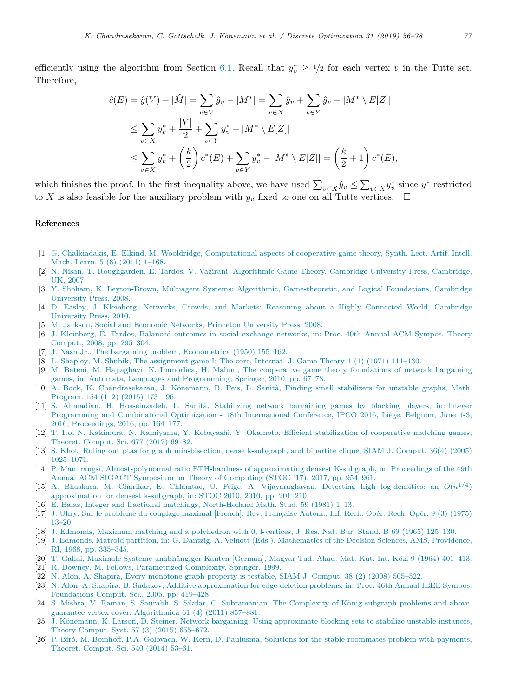efficiently using the algorithm from Section [6.1.](#page-18-0) Recall that  $y_v^* \ge 1/2$  for each vertex *v* in the Tutte set. Therefore,

$$
\hat{c}(E) = \hat{y}(V) - |\hat{M}| = \sum_{v \in V} \hat{y}_v - |M^*| = \sum_{v \in X} \hat{y}_v + \sum_{v \in Y} \hat{y}_v - |M^* \setminus E[Z]|
$$
  
\n
$$
\leq \sum_{v \in X} y_v^* + \frac{|Y|}{2} + \sum_{v \in Y} y_v^* - |M^* \setminus E[Z]|
$$
  
\n
$$
\leq \sum_{v \in X} y_v^* + \left(\frac{k}{2}\right) c^*(E) + \sum_{v \in Y} y_v^* - |M^* \setminus E[Z]| = \left(\frac{k}{2} + 1\right) c^*(E),
$$

which finishes the proof. In the first inequality above, we have used  $\sum_{v \in X} \hat{y}_v \leq \sum_{v \in X} y_v^*$  since  $y^*$  restricted to *X* is also feasible for the auxiliary problem with  $y<sub>v</sub>$  fixed to one on all Tutte vertices.

### References

- <span id="page-21-0"></span>[1] [G. Chalkiadakis, E. Elkind, M. Wooldridge, Computational aspects of cooperative game theory, Synth. Lect. Artif. Intell.](http://refhub.elsevier.com/S1572-5286(17)30167-6/sb1) [Mach. Learn. 5 \(6\) \(2011\) 1–168.](http://refhub.elsevier.com/S1572-5286(17)30167-6/sb1)
- [2] N. Nisan, T. Roughgarden, [E. Tardos, V. Vazirani, Algorithmic Game Theory, Cambridge University Press, Cambridge,](http://refhub.elsevier.com/S1572-5286(17)30167-6/sb2) ´ [UK, 2007.](http://refhub.elsevier.com/S1572-5286(17)30167-6/sb2)
- <span id="page-21-1"></span>[3] [Y. Shoham, K. Leyton-Brown, Multiagent Systems: Algorithmic, Game-theoretic, and Logical Foundations, Cambridge](http://refhub.elsevier.com/S1572-5286(17)30167-6/sb3) [University Press, 2008.](http://refhub.elsevier.com/S1572-5286(17)30167-6/sb3)
- <span id="page-21-2"></span>[4] [D. Easley, J. Kleinberg, Networks, Crowds, and Markets: Reasoning about a Highly Connected World, Cambridge](http://refhub.elsevier.com/S1572-5286(17)30167-6/sb4) [University Press, 2010.](http://refhub.elsevier.com/S1572-5286(17)30167-6/sb4)
- <span id="page-21-3"></span>[5] [M. Jackson, Social and Economic Networks, Princeton University Press, 2008.](http://refhub.elsevier.com/S1572-5286(17)30167-6/sb5)
- <span id="page-21-4"></span>[6] J. Kleinberg, [E. Tardos, Balanced outcomes in social exchange networks, in: Proc. 40th Annual ACM Sympos. Theory](http://refhub.elsevier.com/S1572-5286(17)30167-6/sb6) ´ [Comput., 2008, pp. 295–304.](http://refhub.elsevier.com/S1572-5286(17)30167-6/sb6)
- <span id="page-21-5"></span>[7] [J. Nash Jr., The bargaining problem, Econometrica \(1950\) 155–162.](http://refhub.elsevier.com/S1572-5286(17)30167-6/sb7)
- <span id="page-21-6"></span>[8] [L. Shapley, M. Shubik, The assignment game I: The core, Internat. J. Game Theory 1 \(1\) \(1971\) 111–130.](http://refhub.elsevier.com/S1572-5286(17)30167-6/sb8)
- <span id="page-21-7"></span>[9] [M. Bateni, M. Hajiaghayi, N. Immorlica, H. Mahini, The cooperative game theory foundations of network bargaining](http://refhub.elsevier.com/S1572-5286(17)30167-6/sb9) [games, in: Automata, Languages and Programming, Springer, 2010, pp. 67–78.](http://refhub.elsevier.com/S1572-5286(17)30167-6/sb9)
- <span id="page-21-8"></span>[10] A. Bock, K. Chandrasekaran, J. Könemann, B. Peis, L. Sanità, Finding small stabilizers for unstable graphs, Math. [Program. 154 \(1–2\) \(2015\) 173–196.](http://refhub.elsevier.com/S1572-5286(17)30167-6/sb10)
- <span id="page-21-9"></span>[11] [S. Ahmadian, H. Hosseinzadeh, L. Sanit`a, Stabilizing network bargaining games by blocking players, in: Integer](http://refhub.elsevier.com/S1572-5286(17)30167-6/sb11) Programming and Combinatorial Optimization - 18th International Conference, IPCO 2016, Liège, Belgium, June 1-3, [2016, Proceedings, 2016, pp. 164–177.](http://refhub.elsevier.com/S1572-5286(17)30167-6/sb11)
- <span id="page-21-10"></span>[12] [T. Ito, N. Kakimura, N. Kamiyama, Y. Kobayashi, Y. Okamoto, Efficient stabilization of cooperative matching games,](http://refhub.elsevier.com/S1572-5286(17)30167-6/sb12) [Theoret. Comput. Sci. 677 \(2017\) 69–82.](http://refhub.elsevier.com/S1572-5286(17)30167-6/sb12)
- <span id="page-21-11"></span>[13] [S. Khot, Ruling out ptas for graph min-bisection, dense k-subgraph, and bipartite clique, SIAM J. Comput. 36\(4\) \(2005\)](http://refhub.elsevier.com/S1572-5286(17)30167-6/sb13) [1025–1071.](http://refhub.elsevier.com/S1572-5286(17)30167-6/sb13)
- <span id="page-21-12"></span>[14] [P. Manurangsi, Almost-polynomial ratio ETH-hardness of approximating densest K-subgraph, in: Proceedings of the 49th](http://refhub.elsevier.com/S1572-5286(17)30167-6/sb14) [Annual ACM SIGACT Symposium on Theory of Computing \(STOC '17\), 2017, pp. 954–961.](http://refhub.elsevier.com/S1572-5286(17)30167-6/sb14)
- <span id="page-21-13"></span>[15] [A. Bhaskara, M. Charikar, E. Chlamtac, U. Feige, A. Vijayaraghavan, Detecting high log-densities: an](http://refhub.elsevier.com/S1572-5286(17)30167-6/sb15) *O*(*n* 1*/*4 ) [approximation for densest k-subgraph, in: STOC 2010, 2010, pp. 201–210.](http://refhub.elsevier.com/S1572-5286(17)30167-6/sb15)
- <span id="page-21-14"></span>[16] [E. Balas, Integer and fractional matchings, North-Holland Math. Stud. 59 \(1981\) 1–13.](http://refhub.elsevier.com/S1572-5286(17)30167-6/sb16)
- <span id="page-21-15"></span>[17] J. Uhry, Sur le problème du couplage maximal [French], Rev. Française Autom., Inf. Rech. Opér. Rech. Opér. 9 (3) (1975) [13–20.](http://refhub.elsevier.com/S1572-5286(17)30167-6/sb17)
- <span id="page-21-16"></span>[18] [J. Edmonds, Maximum matching and a polyhedron with 0, l-vertices, J. Res. Nat. Bur. Stand. B 69 \(1965\) 125–130.](http://refhub.elsevier.com/S1572-5286(17)30167-6/sb18)
- [19] [J. Edmonds, Matroid partition, in: G. Dantzig, A. Veinott \(Eds.\), Mathematics of the Decision Sciences, AMS, Providence,](http://refhub.elsevier.com/S1572-5286(17)30167-6/sb19) [RI, 1968, pp. 335–345.](http://refhub.elsevier.com/S1572-5286(17)30167-6/sb19)
- <span id="page-21-17"></span>[20] T. Gallai, Maximale Systeme unabhängiger Kanten [German], Magyar Tud. Akad. Mat. Kut. Int. Közl 9 (1964) 401–413.
- <span id="page-21-18"></span>[21] [R. Downey, M. Fellows, Parametrized Complexity, Springer, 1999.](http://refhub.elsevier.com/S1572-5286(17)30167-6/sb21)
- <span id="page-21-19"></span>[22] [N. Alon, A. Shapira, Every monotone graph property is testable, SIAM J. Comput. 38 \(2\) \(2008\) 505–522.](http://refhub.elsevier.com/S1572-5286(17)30167-6/sb22)
- <span id="page-21-20"></span>[23] [N. Alon, A. Shapira, B. Sudakov, Additive approximation for edge-deletion problems, in: Proc. 46th Annual IEEE Sympos.](http://refhub.elsevier.com/S1572-5286(17)30167-6/sb23) [Foundations Comput. Sci., 2005, pp. 419–428.](http://refhub.elsevier.com/S1572-5286(17)30167-6/sb23)
- <span id="page-21-21"></span>[24] S. Mishra, V. Raman, S. Saurabh, S. Sikdar, C. Subramanian, The Complexity of König subgraph problems and above[guarantee vertex cover, Algorithmica 61 \(4\) \(2011\) 857–881.](http://refhub.elsevier.com/S1572-5286(17)30167-6/sb24)
- <span id="page-21-22"></span>[25] J. Könemann, K. Larson, D. Steiner, Network bargaining: Using approximate blocking sets to stabilize unstable instances, [Theory Comput. Syst. 57 \(3\) \(2015\) 655–672.](http://refhub.elsevier.com/S1572-5286(17)30167-6/sb25)
- <span id="page-21-23"></span>[26] P. Biró, M. Bomhoff, P.A. Golovach, W. Kern, D. Paulusma, Solutions for the stable roommates problem with payments, [Theoret. Comput. Sci. 540 \(2014\) 53–61.](http://refhub.elsevier.com/S1572-5286(17)30167-6/sb26)